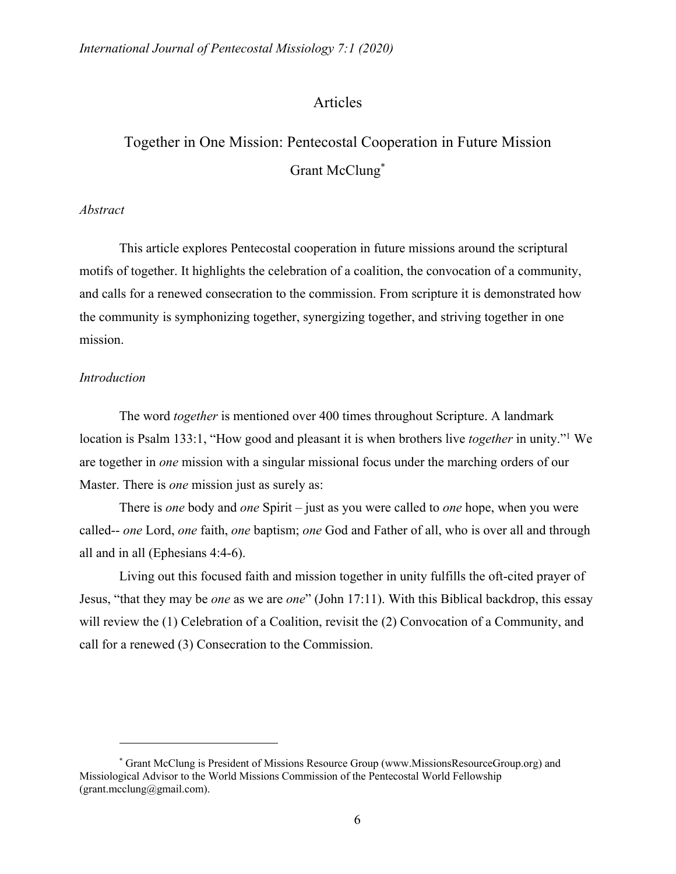# Articles

# Together in One Mission: Pentecostal Cooperation in Future Mission Grant McClung\*

#### *Abstract*

This article explores Pentecostal cooperation in future missions around the scriptural motifs of together. It highlights the celebration of a coalition, the convocation of a community, and calls for a renewed consecration to the commission. From scripture it is demonstrated how the community is symphonizing together, synergizing together, and striving together in one mission.

#### *Introduction*

The word *together* is mentioned over 400 times throughout Scripture. A landmark location is Psalm 133:1, "How good and pleasant it is when brothers live *together* in unity."1 We are together in *one* mission with a singular missional focus under the marching orders of our Master. There is *one* mission just as surely as:

There is *one* body and *one* Spirit – just as you were called to *one* hope, when you were called-- *one* Lord, *one* faith, *one* baptism; *one* God and Father of all, who is over all and through all and in all (Ephesians 4:4-6).

Living out this focused faith and mission together in unity fulfills the oft-cited prayer of Jesus, "that they may be *one* as we are *one*" (John 17:11). With this Biblical backdrop, this essay will review the (1) Celebration of a Coalition, revisit the (2) Convocation of a Community, and call for a renewed (3) Consecration to the Commission.

<sup>\*</sup> Grant McClung is President of Missions Resource Group (www.MissionsResourceGroup.org) and Missiological Advisor to the World Missions Commission of the Pentecostal World Fellowship (grant.mcclung@gmail.com).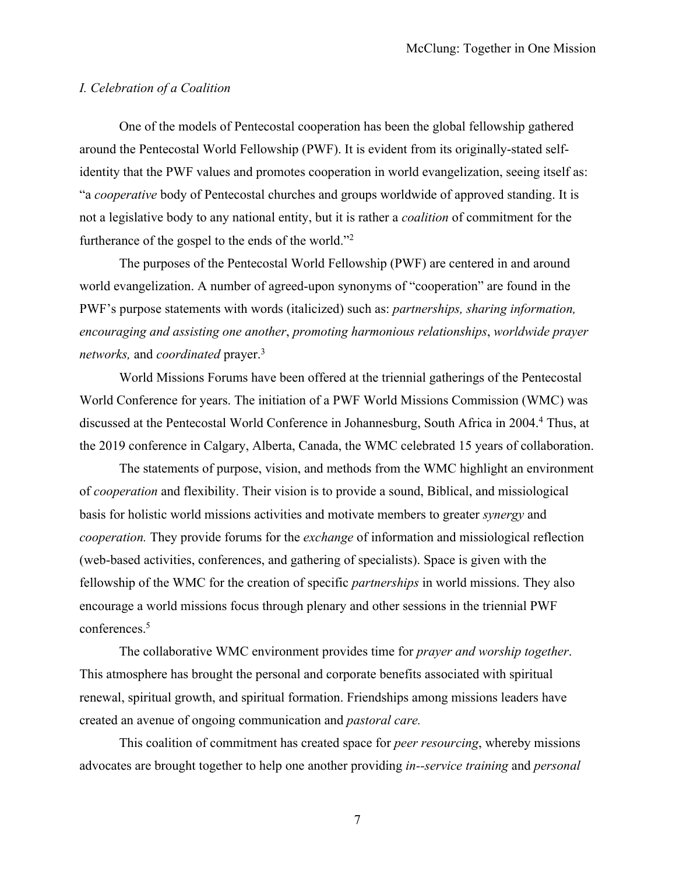## *I. Celebration of a Coalition*

One of the models of Pentecostal cooperation has been the global fellowship gathered around the Pentecostal World Fellowship (PWF). It is evident from its originally-stated selfidentity that the PWF values and promotes cooperation in world evangelization, seeing itself as: "a *cooperative* body of Pentecostal churches and groups worldwide of approved standing. It is not a legislative body to any national entity, but it is rather a *coalition* of commitment for the furtherance of the gospel to the ends of the world."2

The purposes of the Pentecostal World Fellowship (PWF) are centered in and around world evangelization. A number of agreed-upon synonyms of "cooperation" are found in the PWF's purpose statements with words (italicized) such as: *partnerships, sharing information, encouraging and assisting one another*, *promoting harmonious relationships*, *worldwide prayer networks,* and *coordinated* prayer.3

World Missions Forums have been offered at the triennial gatherings of the Pentecostal World Conference for years. The initiation of a PWF World Missions Commission (WMC) was discussed at the Pentecostal World Conference in Johannesburg, South Africa in 2004.4 Thus, at the 2019 conference in Calgary, Alberta, Canada, the WMC celebrated 15 years of collaboration.

The statements of purpose, vision, and methods from the WMC highlight an environment of *cooperation* and flexibility. Their vision is to provide a sound, Biblical, and missiological basis for holistic world missions activities and motivate members to greater *synergy* and *cooperation.* They provide forums for the *exchange* of information and missiological reflection (web-based activities, conferences, and gathering of specialists). Space is given with the fellowship of the WMC for the creation of specific *partnerships* in world missions. They also encourage a world missions focus through plenary and other sessions in the triennial PWF conferences.5

The collaborative WMC environment provides time for *prayer and worship together*. This atmosphere has brought the personal and corporate benefits associated with spiritual renewal, spiritual growth, and spiritual formation. Friendships among missions leaders have created an avenue of ongoing communication and *pastoral care.*

This coalition of commitment has created space for *peer resourcing*, whereby missions advocates are brought together to help one another providing *in--service training* and *personal*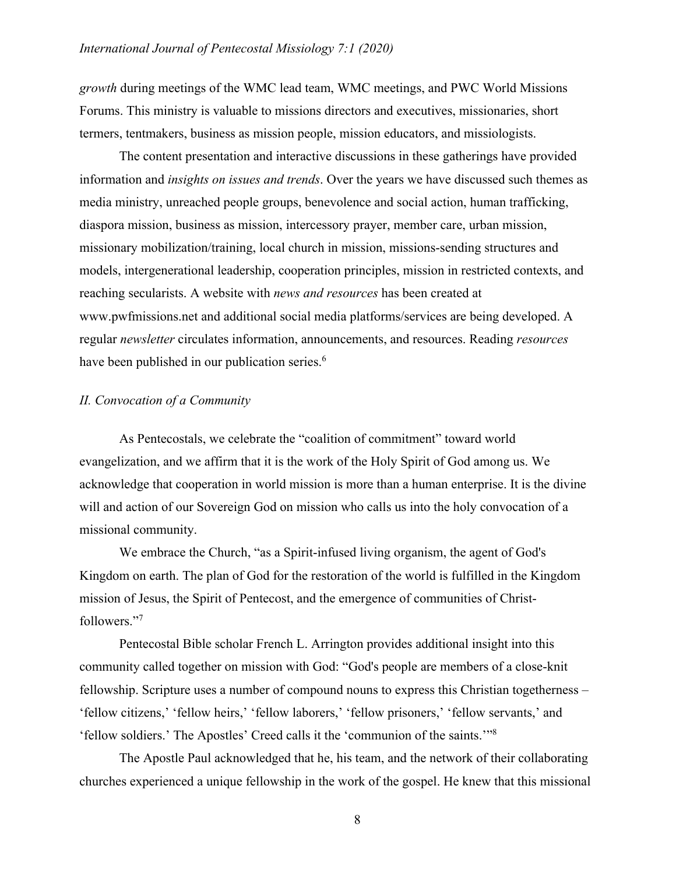*growth* during meetings of the WMC lead team, WMC meetings, and PWC World Missions Forums. This ministry is valuable to missions directors and executives, missionaries, short termers, tentmakers, business as mission people, mission educators, and missiologists.

The content presentation and interactive discussions in these gatherings have provided information and *insights on issues and trends*. Over the years we have discussed such themes as media ministry, unreached people groups, benevolence and social action, human trafficking, diaspora mission, business as mission, intercessory prayer, member care, urban mission, missionary mobilization/training, local church in mission, missions-sending structures and models, intergenerational leadership, cooperation principles, mission in restricted contexts, and reaching secularists. A website with *news and resources* has been created at www.pwfmissions.net and additional social media platforms/services are being developed. A regular *newsletter* circulates information, announcements, and resources. Reading *resources* have been published in our publication series.<sup>6</sup>

## *II. Convocation of a Community*

As Pentecostals, we celebrate the "coalition of commitment" toward world evangelization, and we affirm that it is the work of the Holy Spirit of God among us. We acknowledge that cooperation in world mission is more than a human enterprise. It is the divine will and action of our Sovereign God on mission who calls us into the holy convocation of a missional community.

We embrace the Church, "as a Spirit-infused living organism, the agent of God's Kingdom on earth. The plan of God for the restoration of the world is fulfilled in the Kingdom mission of Jesus, the Spirit of Pentecost, and the emergence of communities of Christfollowers."7

Pentecostal Bible scholar French L. Arrington provides additional insight into this community called together on mission with God: "God's people are members of a close-knit fellowship. Scripture uses a number of compound nouns to express this Christian togetherness – 'fellow citizens,' 'fellow heirs,' 'fellow laborers,' 'fellow prisoners,' 'fellow servants,' and 'fellow soldiers.' The Apostles' Creed calls it the 'communion of the saints.'"8

The Apostle Paul acknowledged that he, his team, and the network of their collaborating churches experienced a unique fellowship in the work of the gospel. He knew that this missional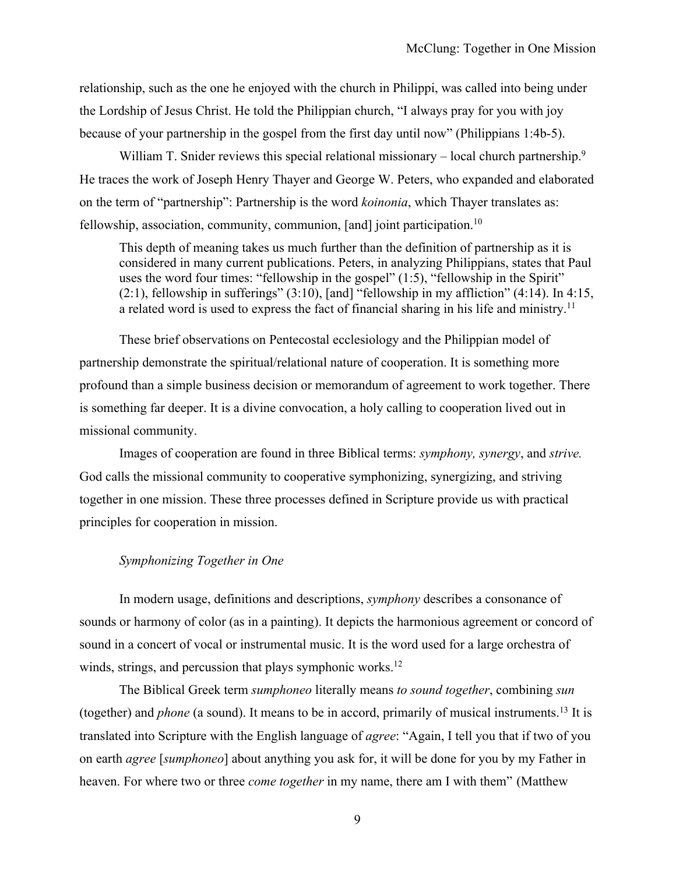relationship, such as the one he enjoyed with the church in Philippi, was called into being under the Lordship of Jesus Christ. He told the Philippian church, "I always pray for you with joy because of your partnership in the gospel from the first day until now" (Philippians 1:4b-5).

William T. Snider reviews this special relational missionary – local church partnership.<sup>9</sup> He traces the work of Joseph Henry Thayer and George W. Peters, who expanded and elaborated on the term of "partnership": Partnership is the word *koinonia*, which Thayer translates as: fellowship, association, community, communion, [and] joint participation.<sup>10</sup>

This depth of meaning takes us much further than the definition of partnership as it is considered in many current publications. Peters, in analyzing Philippians, states that Paul uses the word four times: "fellowship in the gospel" (1:5), "fellowship in the Spirit"  $(2:1)$ , fellowship in sufferings"  $(3:10)$ , [and] "fellowship in my affliction"  $(4:14)$ . In  $4:15$ , a related word is used to express the fact of financial sharing in his life and ministry.<sup>11</sup>

These brief observations on Pentecostal ecclesiology and the Philippian model of partnership demonstrate the spiritual/relational nature of cooperation. It is something more profound than a simple business decision or memorandum of agreement to work together. There is something far deeper. It is a divine convocation, a holy calling to cooperation lived out in missional community.

Images of cooperation are found in three Biblical terms: *symphony, synergy*, and *strive.* God calls the missional community to cooperative symphonizing, synergizing, and striving together in one mission. These three processes defined in Scripture provide us with practical principles for cooperation in mission.

#### *Symphonizing Together in One*

In modern usage, definitions and descriptions, *symphony* describes a consonance of sounds or harmony of color (as in a painting). It depicts the harmonious agreement or concord of sound in a concert of vocal or instrumental music. It is the word used for a large orchestra of winds, strings, and percussion that plays symphonic works.<sup>12</sup>

The Biblical Greek term *sumphoneo* literally means *to sound together*, combining *sun* (together) and *phone* (a sound). It means to be in accord, primarily of musical instruments.13 It is translated into Scripture with the English language of *agree*: "Again, I tell you that if two of you on earth *agree* [*sumphoneo*] about anything you ask for, it will be done for you by my Father in heaven. For where two or three *come together* in my name, there am I with them" (Matthew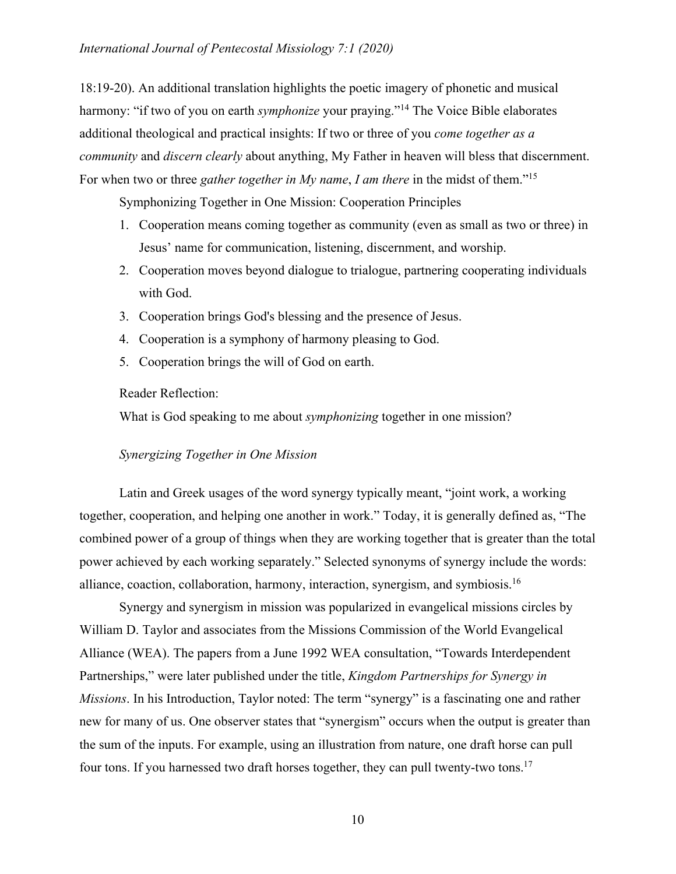### *International Journal of Pentecostal Missiology 7:1 (2020)*

18:19-20). An additional translation highlights the poetic imagery of phonetic and musical harmony: "if two of you on earth *symphonize* your praying."<sup>14</sup> The Voice Bible elaborates additional theological and practical insights: If two or three of you *come together as a community* and *discern clearly* about anything, My Father in heaven will bless that discernment. For when two or three *gather together in My name*, *I am there* in the midst of them."15

Symphonizing Together in One Mission: Cooperation Principles

- 1. Cooperation means coming together as community (even as small as two or three) in Jesus' name for communication, listening, discernment, and worship.
- 2. Cooperation moves beyond dialogue to trialogue, partnering cooperating individuals with God.
- 3. Cooperation brings God's blessing and the presence of Jesus.
- 4. Cooperation is a symphony of harmony pleasing to God.
- 5. Cooperation brings the will of God on earth.

Reader Reflection:

What is God speaking to me about *symphonizing* together in one mission?

### *Synergizing Together in One Mission*

Latin and Greek usages of the word synergy typically meant, "joint work, a working together, cooperation, and helping one another in work." Today, it is generally defined as, "The combined power of a group of things when they are working together that is greater than the total power achieved by each working separately." Selected synonyms of synergy include the words: alliance, coaction, collaboration, harmony, interaction, synergism, and symbiosis.16

Synergy and synergism in mission was popularized in evangelical missions circles by William D. Taylor and associates from the Missions Commission of the World Evangelical Alliance (WEA). The papers from a June 1992 WEA consultation, "Towards Interdependent Partnerships," were later published under the title, *Kingdom Partnerships for Synergy in Missions*. In his Introduction, Taylor noted: The term "synergy" is a fascinating one and rather new for many of us. One observer states that "synergism" occurs when the output is greater than the sum of the inputs. For example, using an illustration from nature, one draft horse can pull four tons. If you harnessed two draft horses together, they can pull twenty-two tons.<sup>17</sup>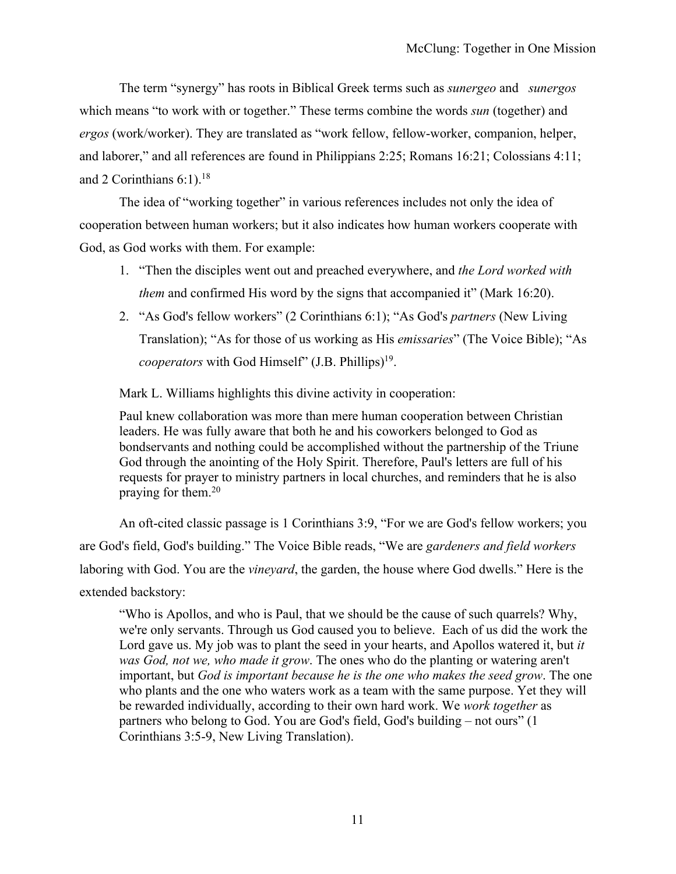The term "synergy" has roots in Biblical Greek terms such as *sunergeo* and *sunergos*  which means "to work with or together." These terms combine the words *sun* (together) and *ergos* (work/worker). They are translated as "work fellow, fellow-worker, companion, helper, and laborer," and all references are found in Philippians 2:25; Romans 16:21; Colossians 4:11; and 2 Corinthians  $6:1$ .<sup>18</sup>

The idea of "working together" in various references includes not only the idea of cooperation between human workers; but it also indicates how human workers cooperate with God, as God works with them. For example:

- 1. "Then the disciples went out and preached everywhere, and *the Lord worked with them* and confirmed His word by the signs that accompanied it" (Mark 16:20).
- 2. "As God's fellow workers" (2 Corinthians 6:1); "As God's *partners* (New Living Translation); "As for those of us working as His *emissaries*" (The Voice Bible); "As *cooperators* with God Himself" (J.B. Phillips)<sup>19</sup>.

Mark L. Williams highlights this divine activity in cooperation:

Paul knew collaboration was more than mere human cooperation between Christian leaders. He was fully aware that both he and his coworkers belonged to God as bondservants and nothing could be accomplished without the partnership of the Triune God through the anointing of the Holy Spirit. Therefore, Paul's letters are full of his requests for prayer to ministry partners in local churches, and reminders that he is also praying for them.20

An oft-cited classic passage is 1 Corinthians 3:9, "For we are God's fellow workers; you are God's field, God's building." The Voice Bible reads, "We are *gardeners and field workers* laboring with God. You are the *vineyard*, the garden, the house where God dwells." Here is the extended backstory:

"Who is Apollos, and who is Paul, that we should be the cause of such quarrels? Why, we're only servants. Through us God caused you to believe. Each of us did the work the Lord gave us. My job was to plant the seed in your hearts, and Apollos watered it, but *it was God, not we, who made it grow*. The ones who do the planting or watering aren't important, but *God is important because he is the one who makes the seed grow*. The one who plants and the one who waters work as a team with the same purpose. Yet they will be rewarded individually, according to their own hard work. We *work together* as partners who belong to God. You are God's field, God's building – not ours" (1 Corinthians 3:5-9, New Living Translation).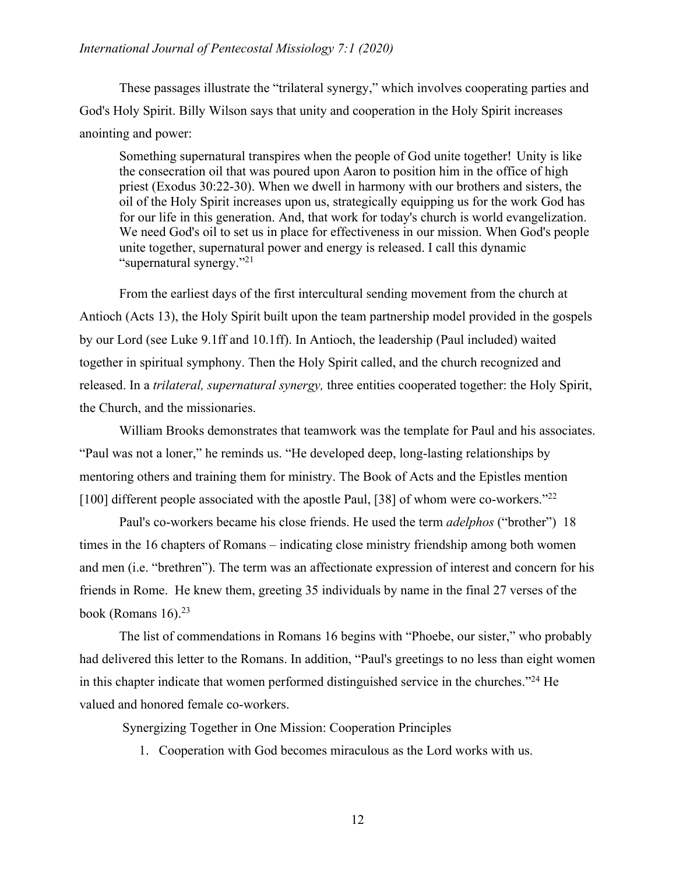## *International Journal of Pentecostal Missiology 7:1 (2020)*

These passages illustrate the "trilateral synergy," which involves cooperating parties and God's Holy Spirit. Billy Wilson says that unity and cooperation in the Holy Spirit increases anointing and power:

Something supernatural transpires when the people of God unite together! Unity is like the consecration oil that was poured upon Aaron to position him in the office of high priest (Exodus 30:22-30). When we dwell in harmony with our brothers and sisters, the oil of the Holy Spirit increases upon us, strategically equipping us for the work God has for our life in this generation. And, that work for today's church is world evangelization. We need God's oil to set us in place for effectiveness in our mission. When God's people unite together, supernatural power and energy is released. I call this dynamic "supernatural synergy."21

From the earliest days of the first intercultural sending movement from the church at Antioch (Acts 13), the Holy Spirit built upon the team partnership model provided in the gospels by our Lord (see Luke 9.1ff and 10.1ff). In Antioch, the leadership (Paul included) waited together in spiritual symphony. Then the Holy Spirit called, and the church recognized and released. In a *trilateral, supernatural synergy,* three entities cooperated together: the Holy Spirit, the Church, and the missionaries.

William Brooks demonstrates that teamwork was the template for Paul and his associates. "Paul was not a loner," he reminds us. "He developed deep, long-lasting relationships by mentoring others and training them for ministry. The Book of Acts and the Epistles mention [100] different people associated with the apostle Paul, [38] of whom were co-workers."<sup>22</sup>

Paul's co-workers became his close friends. He used the term *adelphos* ("brother") 18 times in the 16 chapters of Romans – indicating close ministry friendship among both women and men (i.e. "brethren"). The term was an affectionate expression of interest and concern for his friends in Rome. He knew them, greeting 35 individuals by name in the final 27 verses of the book (Romans 16).<sup>23</sup>

The list of commendations in Romans 16 begins with "Phoebe, our sister," who probably had delivered this letter to the Romans. In addition, "Paul's greetings to no less than eight women in this chapter indicate that women performed distinguished service in the churches."24 He valued and honored female co-workers.

Synergizing Together in One Mission: Cooperation Principles

1. Cooperation with God becomes miraculous as the Lord works with us.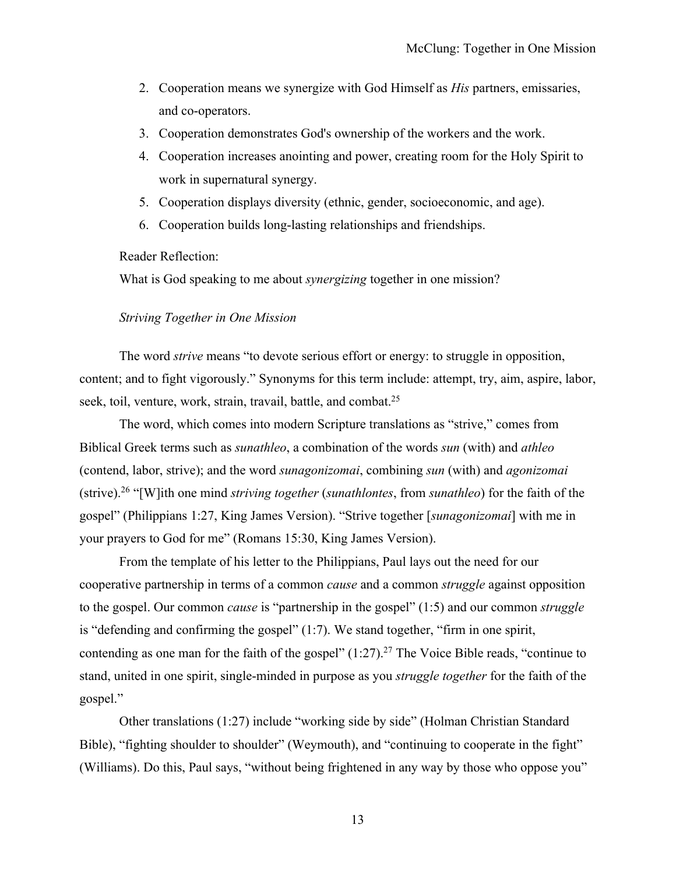- 2. Cooperation means we synergize with God Himself as *His* partners, emissaries, and co-operators.
- 3. Cooperation demonstrates God's ownership of the workers and the work.
- 4. Cooperation increases anointing and power, creating room for the Holy Spirit to work in supernatural synergy.
- 5. Cooperation displays diversity (ethnic, gender, socioeconomic, and age).
- 6. Cooperation builds long-lasting relationships and friendships.

Reader Reflection:

What is God speaking to me about *synergizing* together in one mission?

#### *Striving Together in One Mission*

The word *strive* means "to devote serious effort or energy: to struggle in opposition, content; and to fight vigorously." Synonyms for this term include: attempt, try, aim, aspire, labor, seek, toil, venture, work, strain, travail, battle, and combat.<sup>25</sup>

The word, which comes into modern Scripture translations as "strive," comes from Biblical Greek terms such as *sunathleo*, a combination of the words *sun* (with) and *athleo* (contend, labor, strive); and the word *sunagonizomai*, combining *sun* (with) and *agonizomai* (strive).26 "[W]ith one mind *striving together* (*sunathlontes*, from *sunathleo*) for the faith of the gospel" (Philippians 1:27, King James Version). "Strive together [*sunagonizomai*] with me in your prayers to God for me" (Romans 15:30, King James Version).

From the template of his letter to the Philippians, Paul lays out the need for our cooperative partnership in terms of a common *cause* and a common *struggle* against opposition to the gospel. Our common *cause* is "partnership in the gospel" (1:5) and our common *struggle* is "defending and confirming the gospel"  $(1:7)$ . We stand together, "firm in one spirit, contending as one man for the faith of the gospel"  $(1:27).^{27}$  The Voice Bible reads, "continue to stand, united in one spirit, single-minded in purpose as you *struggle together* for the faith of the gospel."

Other translations (1:27) include "working side by side" (Holman Christian Standard Bible), "fighting shoulder to shoulder" (Weymouth), and "continuing to cooperate in the fight" (Williams). Do this, Paul says, "without being frightened in any way by those who oppose you"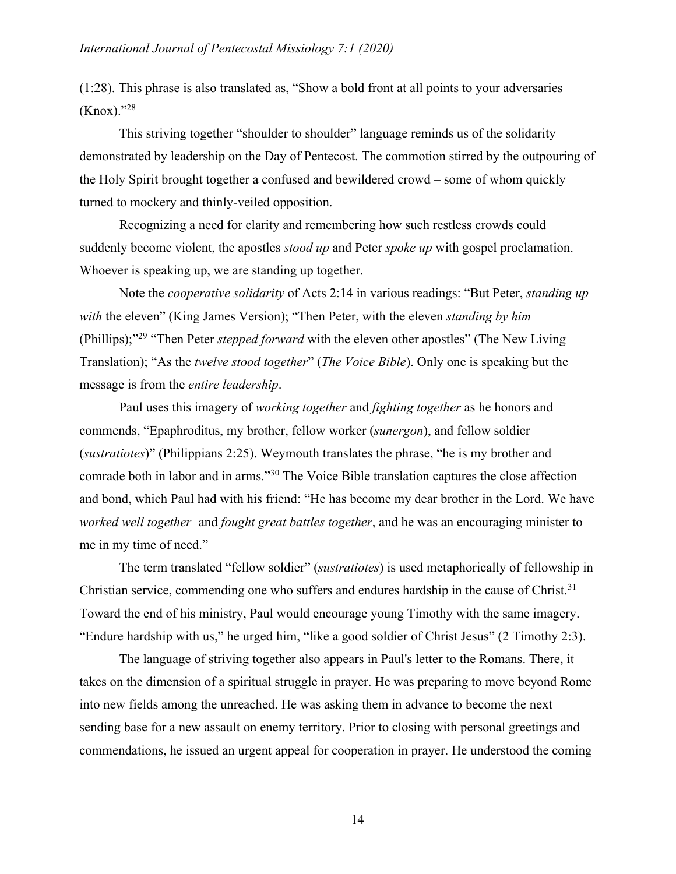(1:28). This phrase is also translated as, "Show a bold front at all points to your adversaries (Knox)."28

This striving together "shoulder to shoulder" language reminds us of the solidarity demonstrated by leadership on the Day of Pentecost. The commotion stirred by the outpouring of the Holy Spirit brought together a confused and bewildered crowd – some of whom quickly turned to mockery and thinly-veiled opposition.

Recognizing a need for clarity and remembering how such restless crowds could suddenly become violent, the apostles *stood up* and Peter *spoke up* with gospel proclamation. Whoever is speaking up, we are standing up together.

Note the *cooperative solidarity* of Acts 2:14 in various readings: "But Peter, *standing up with* the eleven" (King James Version); "Then Peter, with the eleven *standing by him*  (Phillips);"29 "Then Peter *stepped forward* with the eleven other apostles" (The New Living Translation); "As the *twelve stood together*" (*The Voice Bible*). Only one is speaking but the message is from the *entire leadership*.

Paul uses this imagery of *working together* and *fighting together* as he honors and commends, "Epaphroditus, my brother, fellow worker (*sunergon*), and fellow soldier (*sustratiotes*)" (Philippians 2:25). Weymouth translates the phrase, "he is my brother and comrade both in labor and in arms."30 The Voice Bible translation captures the close affection and bond, which Paul had with his friend: "He has become my dear brother in the Lord. We have *worked well together* and *fought great battles together*, and he was an encouraging minister to me in my time of need."

The term translated "fellow soldier" (*sustratiotes*) is used metaphorically of fellowship in Christian service, commending one who suffers and endures hardship in the cause of Christ.<sup>31</sup> Toward the end of his ministry, Paul would encourage young Timothy with the same imagery. "Endure hardship with us," he urged him, "like a good soldier of Christ Jesus" (2 Timothy 2:3).

The language of striving together also appears in Paul's letter to the Romans. There, it takes on the dimension of a spiritual struggle in prayer. He was preparing to move beyond Rome into new fields among the unreached. He was asking them in advance to become the next sending base for a new assault on enemy territory. Prior to closing with personal greetings and commendations, he issued an urgent appeal for cooperation in prayer. He understood the coming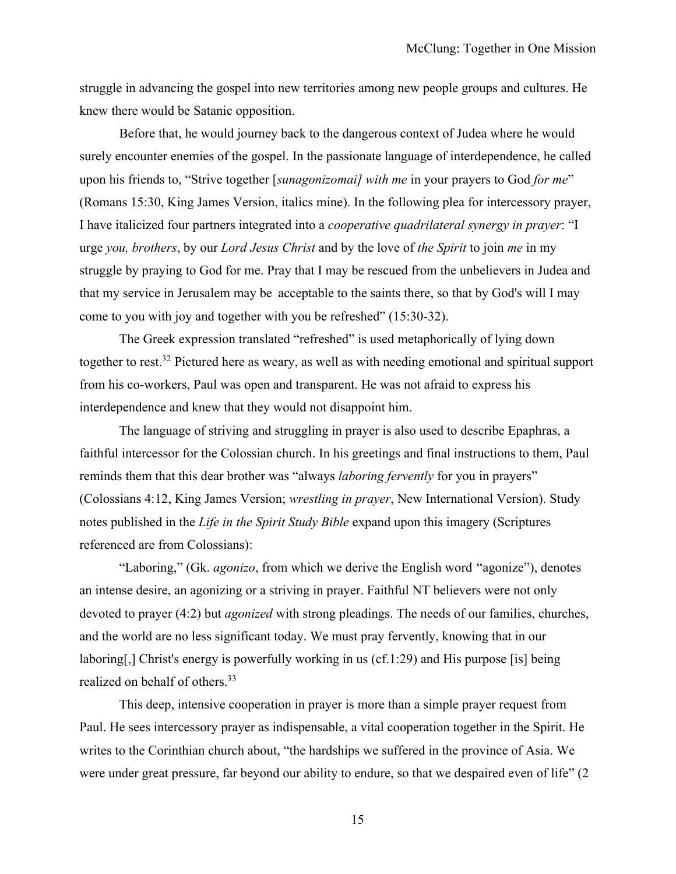struggle in advancing the gospel into new territories among new people groups and cultures. He knew there would be Satanic opposition.

Before that, he would journey back to the dangerous context of Judea where he would surely encounter enemies of the gospel. In the passionate language of interdependence, he called upon his friends to, "Strive together [*sunagonizomai] with me* in your prayers to God *for me*" (Romans 15:30, King James Version, italics mine). In the following plea for intercessory prayer, I have italicized four partners integrated into a *cooperative quadrilateral synergy in prayer*: "I urge *you, brothers*, by our *Lord Jesus Christ* and by the love of *the Spirit* to join *me* in my struggle by praying to God for me. Pray that I may be rescued from the unbelievers in Judea and that my service in Jerusalem may be acceptable to the saints there, so that by God's will I may come to you with joy and together with you be refreshed" (15:30-32).

The Greek expression translated "refreshed" is used metaphorically of lying down together to rest.32 Pictured here as weary, as well as with needing emotional and spiritual support from his co-workers, Paul was open and transparent. He was not afraid to express his interdependence and knew that they would not disappoint him.

The language of striving and struggling in prayer is also used to describe Epaphras, a faithful intercessor for the Colossian church. In his greetings and final instructions to them, Paul reminds them that this dear brother was "always *laboring fervently* for you in prayers" (Colossians 4:12, King James Version; *wrestling in prayer*, New International Version). Study notes published in the *Life in the Spirit Study Bible* expand upon this imagery (Scriptures referenced are from Colossians):

"Laboring," (Gk. *agonizo*, from which we derive the English word "agonize"), denotes an intense desire, an agonizing or a striving in prayer. Faithful NT believers were not only devoted to prayer (4:2) but *agonized* with strong pleadings. The needs of our families, churches, and the world are no less significant today. We must pray fervently, knowing that in our laboring[,] Christ's energy is powerfully working in us (cf.1:29) and His purpose [is] being realized on behalf of others.33

This deep, intensive cooperation in prayer is more than a simple prayer request from Paul. He sees intercessory prayer as indispensable, a vital cooperation together in the Spirit. He writes to the Corinthian church about, "the hardships we suffered in the province of Asia. We were under great pressure, far beyond our ability to endure, so that we despaired even of life" (2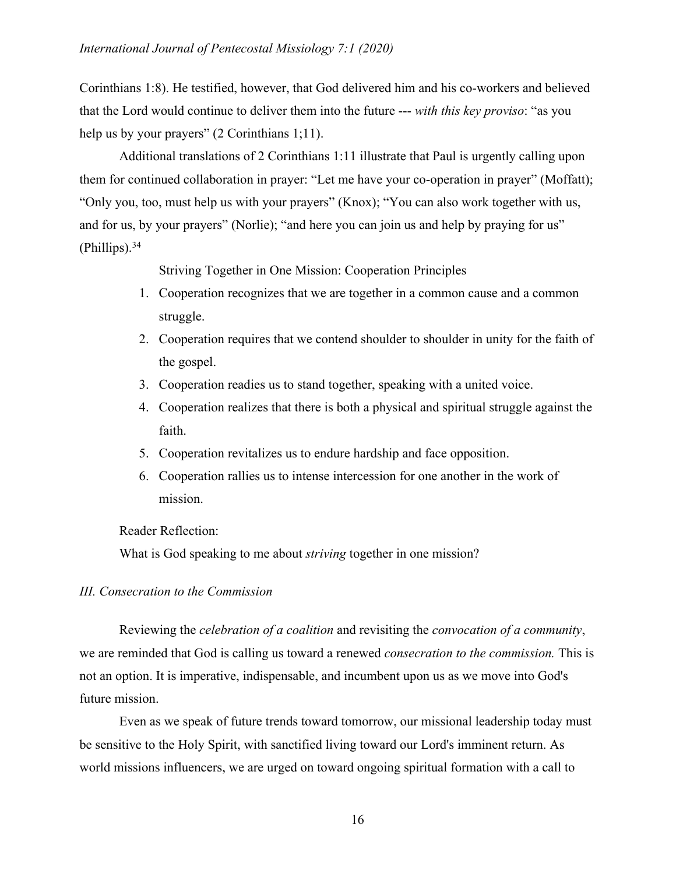Corinthians 1:8). He testified, however, that God delivered him and his co-workers and believed that the Lord would continue to deliver them into the future --- *with this key proviso*: "as you help us by your prayers" (2 Corinthians 1;11).

Additional translations of 2 Corinthians 1:11 illustrate that Paul is urgently calling upon them for continued collaboration in prayer: "Let me have your co-operation in prayer" (Moffatt); "Only you, too, must help us with your prayers" (Knox); "You can also work together with us, and for us, by your prayers" (Norlie); "and here you can join us and help by praying for us"  $(Philips).<sup>34</sup>$ 

Striving Together in One Mission: Cooperation Principles

- 1. Cooperation recognizes that we are together in a common cause and a common struggle.
- 2. Cooperation requires that we contend shoulder to shoulder in unity for the faith of the gospel.
- 3. Cooperation readies us to stand together, speaking with a united voice.
- 4. Cooperation realizes that there is both a physical and spiritual struggle against the faith.
- 5. Cooperation revitalizes us to endure hardship and face opposition.
- 6. Cooperation rallies us to intense intercession for one another in the work of mission.

Reader Reflection:

What is God speaking to me about *striving* together in one mission?

## *III. Consecration to the Commission*

Reviewing the *celebration of a coalition* and revisiting the *convocation of a community*, we are reminded that God is calling us toward a renewed *consecration to the commission.* This is not an option. It is imperative, indispensable, and incumbent upon us as we move into God's future mission.

Even as we speak of future trends toward tomorrow, our missional leadership today must be sensitive to the Holy Spirit, with sanctified living toward our Lord's imminent return. As world missions influencers, we are urged on toward ongoing spiritual formation with a call to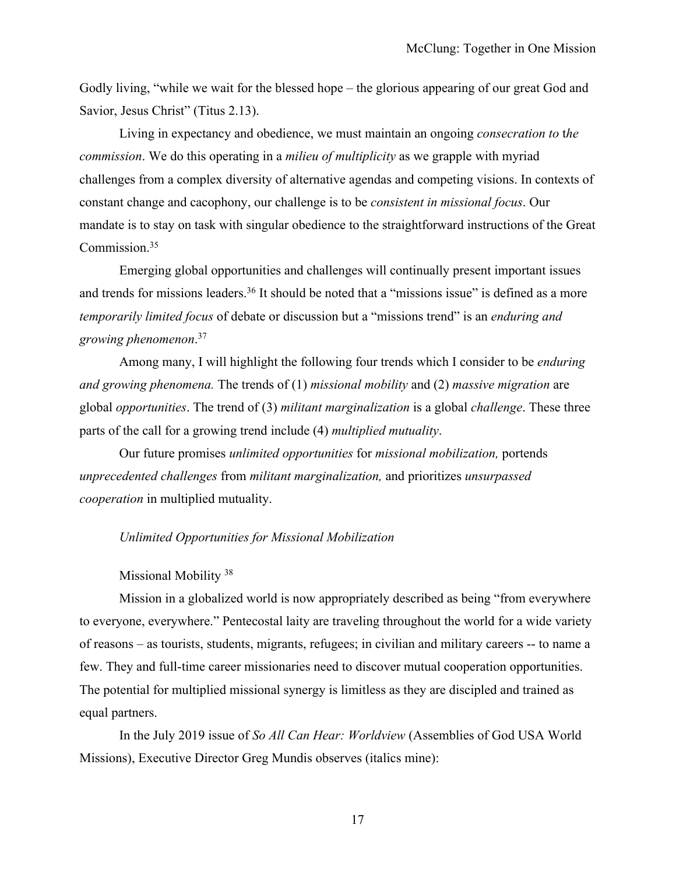Godly living, "while we wait for the blessed hope – the glorious appearing of our great God and Savior, Jesus Christ" (Titus 2.13).

Living in expectancy and obedience, we must maintain an ongoing *consecration to* t*he commission*. We do this operating in a *milieu of multiplicity* as we grapple with myriad challenges from a complex diversity of alternative agendas and competing visions. In contexts of constant change and cacophony, our challenge is to be *consistent in missional focus*. Our mandate is to stay on task with singular obedience to the straightforward instructions of the Great Commission.35

Emerging global opportunities and challenges will continually present important issues and trends for missions leaders.<sup>36</sup> It should be noted that a "missions issue" is defined as a more *temporarily limited focus* of debate or discussion but a "missions trend" is an *enduring and growing phenomenon*. 37

Among many, I will highlight the following four trends which I consider to be *enduring and growing phenomena.* The trends of (1) *missional mobility* and (2) *massive migration* are global *opportunities*. The trend of (3) *militant marginalization* is a global *challenge*. These three parts of the call for a growing trend include (4) *multiplied mutuality*.

Our future promises *unlimited opportunities* for *missional mobilization,* portends *unprecedented challenges* from *militant marginalization,* and prioritizes *unsurpassed cooperation* in multiplied mutuality.

#### *Unlimited Opportunities for Missional Mobilization*

#### Missional Mobility<sup>38</sup>

Mission in a globalized world is now appropriately described as being "from everywhere to everyone, everywhere." Pentecostal laity are traveling throughout the world for a wide variety of reasons – as tourists, students, migrants, refugees; in civilian and military careers -- to name a few. They and full-time career missionaries need to discover mutual cooperation opportunities. The potential for multiplied missional synergy is limitless as they are discipled and trained as equal partners.

In the July 2019 issue of *So All Can Hear: Worldview* (Assemblies of God USA World Missions), Executive Director Greg Mundis observes (italics mine):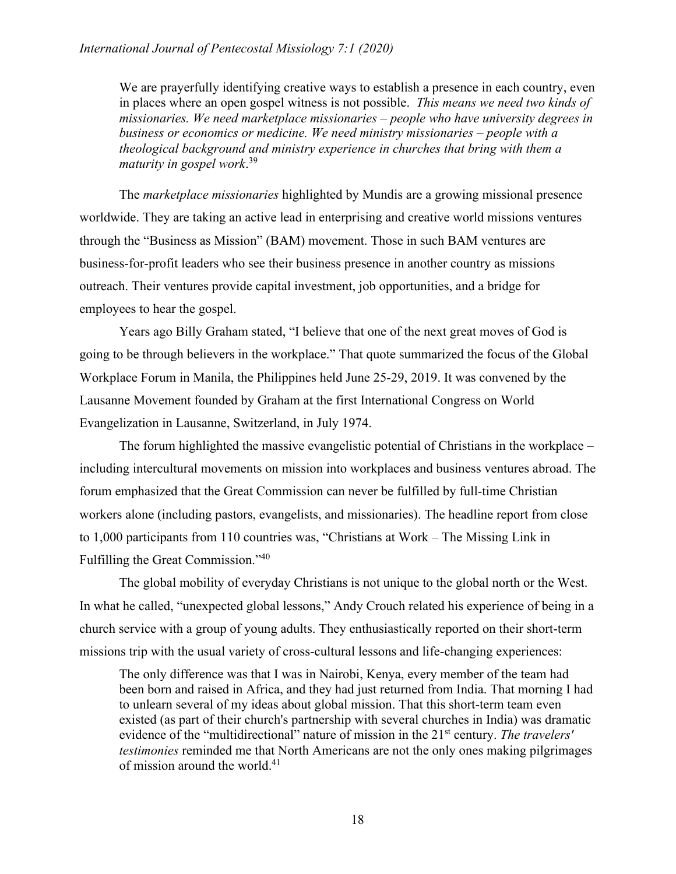We are prayerfully identifying creative ways to establish a presence in each country, even in places where an open gospel witness is not possible. *This means we need two kinds of missionaries. We need marketplace missionaries – people who have university degrees in business or economics or medicine. We need ministry missionaries – people with a theological background and ministry experience in churches that bring with them a maturity in gospel work*. 39

The *marketplace missionaries* highlighted by Mundis are a growing missional presence worldwide. They are taking an active lead in enterprising and creative world missions ventures through the "Business as Mission" (BAM) movement. Those in such BAM ventures are business-for-profit leaders who see their business presence in another country as missions outreach. Their ventures provide capital investment, job opportunities, and a bridge for employees to hear the gospel.

Years ago Billy Graham stated, "I believe that one of the next great moves of God is going to be through believers in the workplace." That quote summarized the focus of the Global Workplace Forum in Manila, the Philippines held June 25-29, 2019. It was convened by the Lausanne Movement founded by Graham at the first International Congress on World Evangelization in Lausanne, Switzerland, in July 1974.

The forum highlighted the massive evangelistic potential of Christians in the workplace – including intercultural movements on mission into workplaces and business ventures abroad. The forum emphasized that the Great Commission can never be fulfilled by full-time Christian workers alone (including pastors, evangelists, and missionaries). The headline report from close to 1,000 participants from 110 countries was, "Christians at Work – The Missing Link in Fulfilling the Great Commission."40

The global mobility of everyday Christians is not unique to the global north or the West. In what he called, "unexpected global lessons," Andy Crouch related his experience of being in a church service with a group of young adults. They enthusiastically reported on their short-term missions trip with the usual variety of cross-cultural lessons and life-changing experiences:

The only difference was that I was in Nairobi, Kenya, every member of the team had been born and raised in Africa, and they had just returned from India. That morning I had to unlearn several of my ideas about global mission. That this short-term team even existed (as part of their church's partnership with several churches in India) was dramatic evidence of the "multidirectional" nature of mission in the 21st century. *The travelers' testimonies* reminded me that North Americans are not the only ones making pilgrimages of mission around the world.41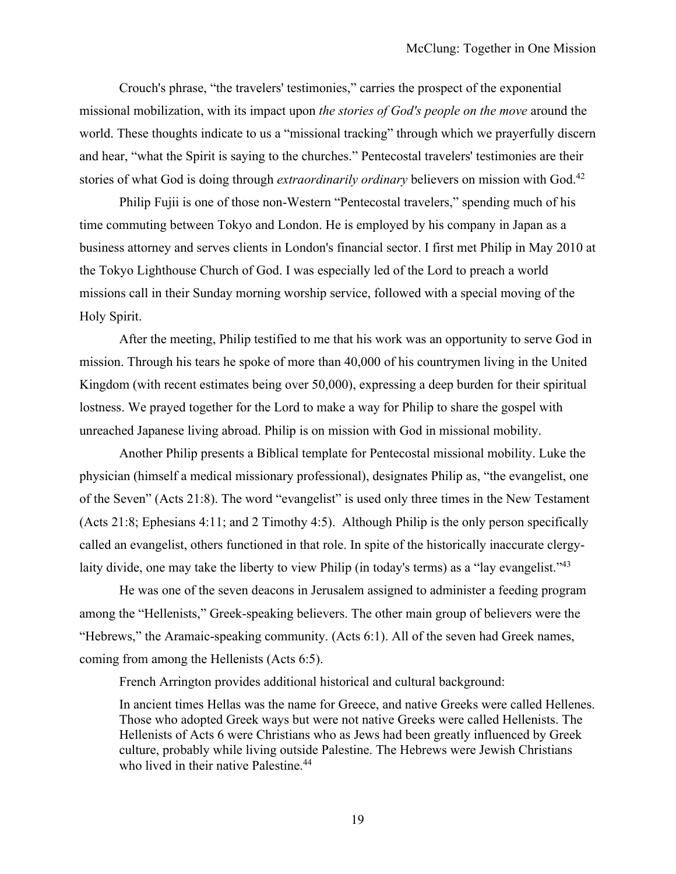Crouch's phrase, "the travelers' testimonies," carries the prospect of the exponential missional mobilization, with its impact upon *the stories of God's people on the move* around the world. These thoughts indicate to us a "missional tracking" through which we prayerfully discern and hear, "what the Spirit is saying to the churches." Pentecostal travelers' testimonies are their stories of what God is doing through *extraordinarily ordinary* believers on mission with God.42

Philip Fujii is one of those non-Western "Pentecostal travelers," spending much of his time commuting between Tokyo and London. He is employed by his company in Japan as a business attorney and serves clients in London's financial sector. I first met Philip in May 2010 at the Tokyo Lighthouse Church of God. I was especially led of the Lord to preach a world missions call in their Sunday morning worship service, followed with a special moving of the Holy Spirit.

After the meeting, Philip testified to me that his work was an opportunity to serve God in mission. Through his tears he spoke of more than 40,000 of his countrymen living in the United Kingdom (with recent estimates being over 50,000), expressing a deep burden for their spiritual lostness. We prayed together for the Lord to make a way for Philip to share the gospel with unreached Japanese living abroad. Philip is on mission with God in missional mobility.

Another Philip presents a Biblical template for Pentecostal missional mobility. Luke the physician (himself a medical missionary professional), designates Philip as, "the evangelist, one of the Seven" (Acts 21:8). The word "evangelist" is used only three times in the New Testament (Acts 21:8; Ephesians 4:11; and 2 Timothy 4:5). Although Philip is the only person specifically called an evangelist, others functioned in that role. In spite of the historically inaccurate clergylaity divide, one may take the liberty to view Philip (in today's terms) as a "lay evangelist."<sup>43</sup>

He was one of the seven deacons in Jerusalem assigned to administer a feeding program among the "Hellenists," Greek-speaking believers. The other main group of believers were the "Hebrews," the Aramaic-speaking community. (Acts 6:1). All of the seven had Greek names, coming from among the Hellenists (Acts 6:5).

French Arrington provides additional historical and cultural background:

In ancient times Hellas was the name for Greece, and native Greeks were called Hellenes. Those who adopted Greek ways but were not native Greeks were called Hellenists. The Hellenists of Acts 6 were Christians who as Jews had been greatly influenced by Greek culture, probably while living outside Palestine. The Hebrews were Jewish Christians who lived in their native Palestine.<sup>44</sup>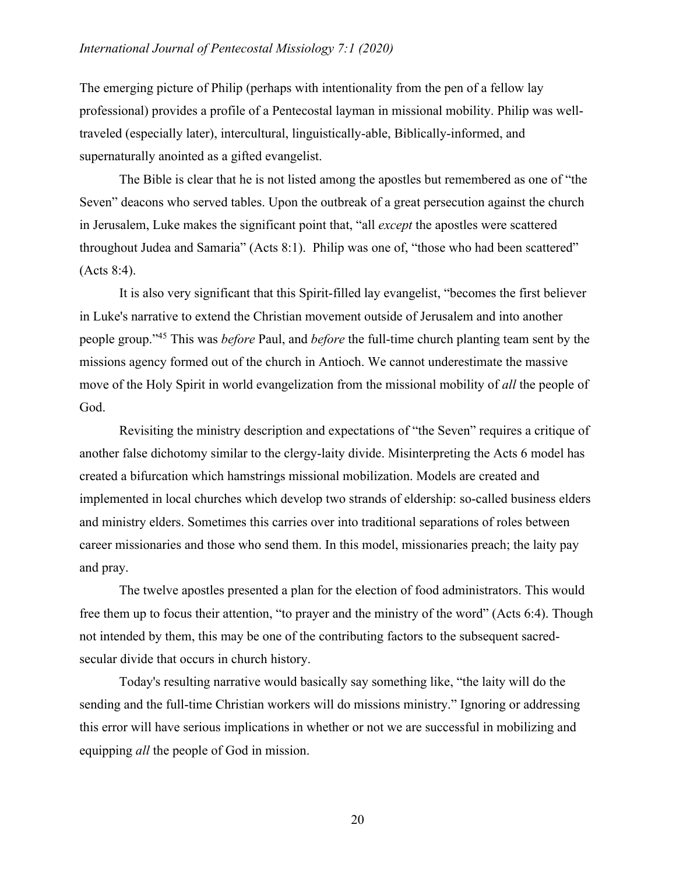## *International Journal of Pentecostal Missiology 7:1 (2020)*

The emerging picture of Philip (perhaps with intentionality from the pen of a fellow lay professional) provides a profile of a Pentecostal layman in missional mobility. Philip was welltraveled (especially later), intercultural, linguistically-able, Biblically-informed, and supernaturally anointed as a gifted evangelist.

The Bible is clear that he is not listed among the apostles but remembered as one of "the Seven" deacons who served tables. Upon the outbreak of a great persecution against the church in Jerusalem, Luke makes the significant point that, "all *except* the apostles were scattered throughout Judea and Samaria" (Acts 8:1). Philip was one of, "those who had been scattered" (Acts 8:4).

It is also very significant that this Spirit-filled lay evangelist, "becomes the first believer in Luke's narrative to extend the Christian movement outside of Jerusalem and into another people group."45 This was *before* Paul, and *before* the full-time church planting team sent by the missions agency formed out of the church in Antioch. We cannot underestimate the massive move of the Holy Spirit in world evangelization from the missional mobility of *all* the people of God.

Revisiting the ministry description and expectations of "the Seven" requires a critique of another false dichotomy similar to the clergy-laity divide. Misinterpreting the Acts 6 model has created a bifurcation which hamstrings missional mobilization. Models are created and implemented in local churches which develop two strands of eldership: so-called business elders and ministry elders. Sometimes this carries over into traditional separations of roles between career missionaries and those who send them. In this model, missionaries preach; the laity pay and pray.

The twelve apostles presented a plan for the election of food administrators. This would free them up to focus their attention, "to prayer and the ministry of the word" (Acts 6:4). Though not intended by them, this may be one of the contributing factors to the subsequent sacredsecular divide that occurs in church history.

Today's resulting narrative would basically say something like, "the laity will do the sending and the full-time Christian workers will do missions ministry." Ignoring or addressing this error will have serious implications in whether or not we are successful in mobilizing and equipping *all* the people of God in mission.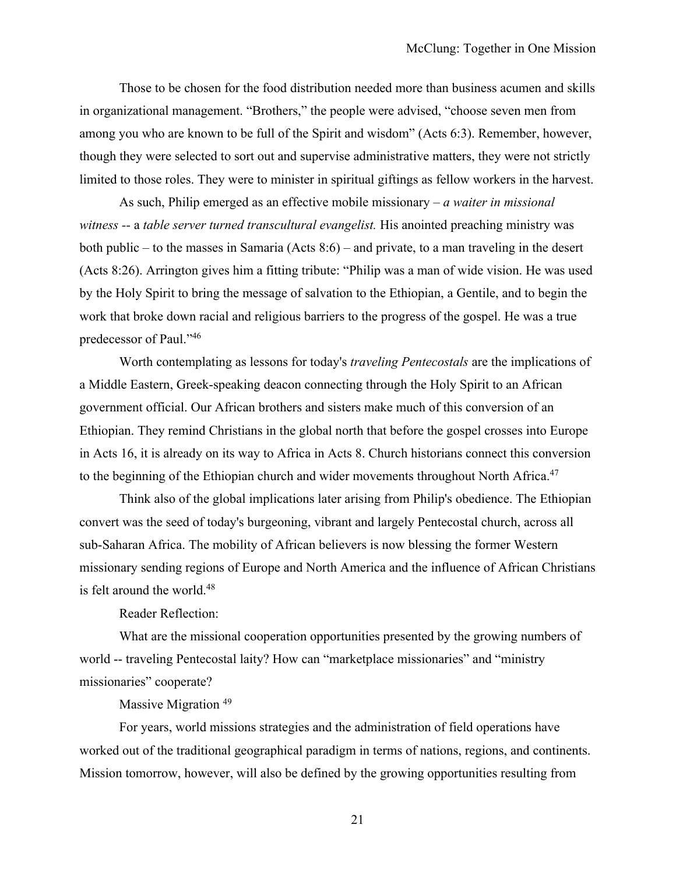Those to be chosen for the food distribution needed more than business acumen and skills in organizational management. "Brothers," the people were advised, "choose seven men from among you who are known to be full of the Spirit and wisdom" (Acts 6:3). Remember, however, though they were selected to sort out and supervise administrative matters, they were not strictly limited to those roles. They were to minister in spiritual giftings as fellow workers in the harvest.

As such, Philip emerged as an effective mobile missionary – *a waiter in missional witness --* a *table server turned transcultural evangelist.* His anointed preaching ministry was both public – to the masses in Samaria (Acts 8:6) – and private, to a man traveling in the desert (Acts 8:26). Arrington gives him a fitting tribute: "Philip was a man of wide vision. He was used by the Holy Spirit to bring the message of salvation to the Ethiopian, a Gentile, and to begin the work that broke down racial and religious barriers to the progress of the gospel. He was a true predecessor of Paul."46

Worth contemplating as lessons for today's *traveling Pentecostals* are the implications of a Middle Eastern, Greek-speaking deacon connecting through the Holy Spirit to an African government official. Our African brothers and sisters make much of this conversion of an Ethiopian. They remind Christians in the global north that before the gospel crosses into Europe in Acts 16, it is already on its way to Africa in Acts 8. Church historians connect this conversion to the beginning of the Ethiopian church and wider movements throughout North Africa.<sup>47</sup>

Think also of the global implications later arising from Philip's obedience. The Ethiopian convert was the seed of today's burgeoning, vibrant and largely Pentecostal church, across all sub-Saharan Africa. The mobility of African believers is now blessing the former Western missionary sending regions of Europe and North America and the influence of African Christians is felt around the world.<sup>48</sup>

Reader Reflection:

What are the missional cooperation opportunities presented by the growing numbers of world -- traveling Pentecostal laity? How can "marketplace missionaries" and "ministry missionaries" cooperate?

Massive Migration<sup>49</sup>

For years, world missions strategies and the administration of field operations have worked out of the traditional geographical paradigm in terms of nations, regions, and continents. Mission tomorrow, however, will also be defined by the growing opportunities resulting from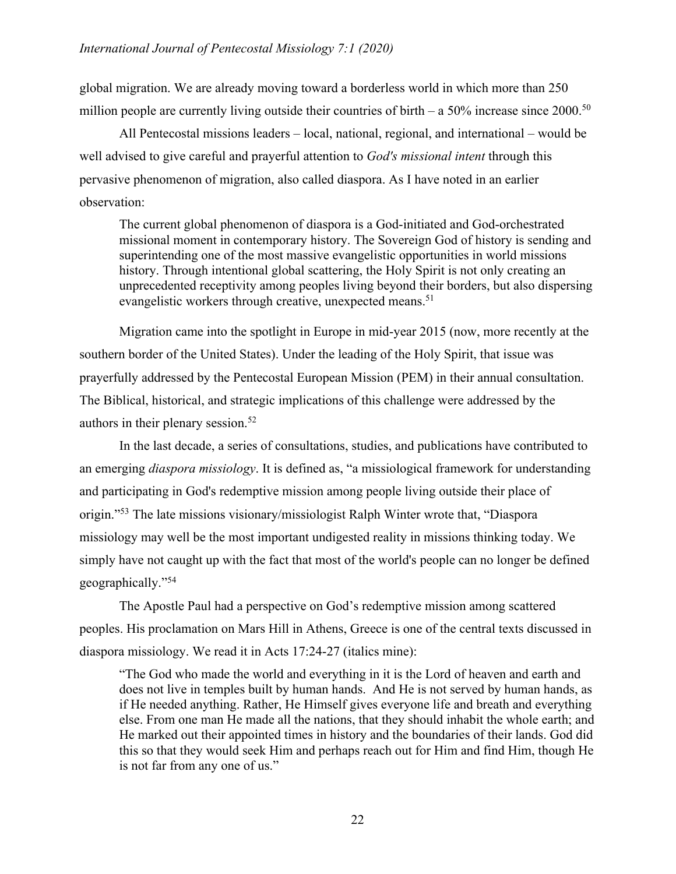global migration. We are already moving toward a borderless world in which more than 250 million people are currently living outside their countries of birth – a  $50\%$  increase since  $2000$ .<sup>50</sup>

All Pentecostal missions leaders – local, national, regional, and international – would be well advised to give careful and prayerful attention to *God's missional intent* through this pervasive phenomenon of migration, also called diaspora. As I have noted in an earlier observation:

The current global phenomenon of diaspora is a God-initiated and God-orchestrated missional moment in contemporary history. The Sovereign God of history is sending and superintending one of the most massive evangelistic opportunities in world missions history. Through intentional global scattering, the Holy Spirit is not only creating an unprecedented receptivity among peoples living beyond their borders, but also dispersing evangelistic workers through creative, unexpected means.<sup>51</sup>

Migration came into the spotlight in Europe in mid-year 2015 (now, more recently at the southern border of the United States). Under the leading of the Holy Spirit, that issue was prayerfully addressed by the Pentecostal European Mission (PEM) in their annual consultation. The Biblical, historical, and strategic implications of this challenge were addressed by the authors in their plenary session.<sup>52</sup>

In the last decade, a series of consultations, studies, and publications have contributed to an emerging *diaspora missiology*. It is defined as, "a missiological framework for understanding and participating in God's redemptive mission among people living outside their place of origin."53 The late missions visionary/missiologist Ralph Winter wrote that, "Diaspora missiology may well be the most important undigested reality in missions thinking today. We simply have not caught up with the fact that most of the world's people can no longer be defined geographically."54

The Apostle Paul had a perspective on God's redemptive mission among scattered peoples. His proclamation on Mars Hill in Athens, Greece is one of the central texts discussed in diaspora missiology. We read it in Acts 17:24-27 (italics mine):

"The God who made the world and everything in it is the Lord of heaven and earth and does not live in temples built by human hands. And He is not served by human hands, as if He needed anything. Rather, He Himself gives everyone life and breath and everything else. From one man He made all the nations, that they should inhabit the whole earth; and He marked out their appointed times in history and the boundaries of their lands. God did this so that they would seek Him and perhaps reach out for Him and find Him, though He is not far from any one of us."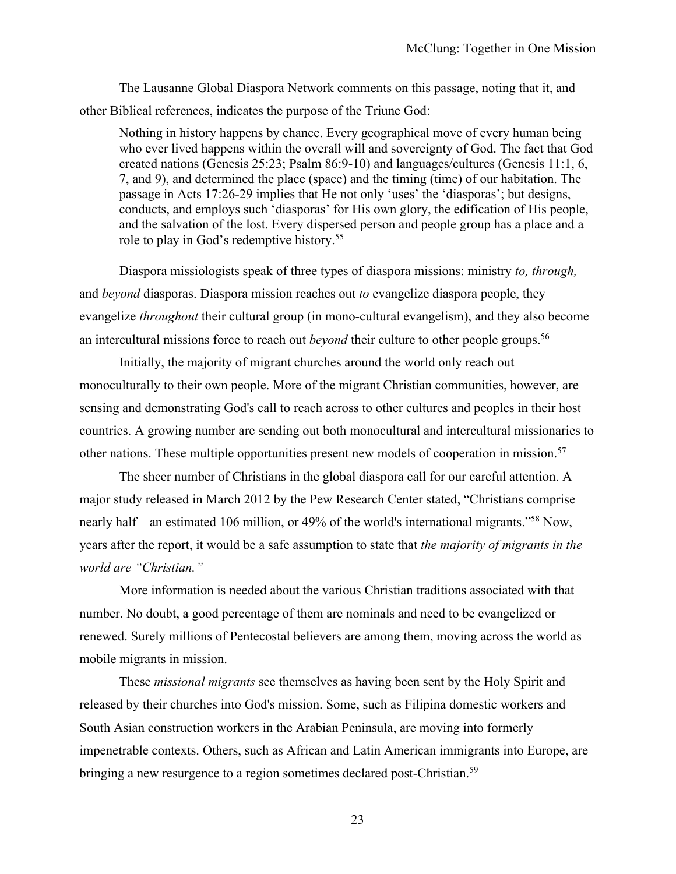The Lausanne Global Diaspora Network comments on this passage, noting that it, and other Biblical references, indicates the purpose of the Triune God:

Nothing in history happens by chance. Every geographical move of every human being who ever lived happens within the overall will and sovereignty of God. The fact that God created nations (Genesis 25:23; Psalm 86:9-10) and languages/cultures (Genesis 11:1, 6, 7, and 9), and determined the place (space) and the timing (time) of our habitation. The passage in Acts 17:26-29 implies that He not only 'uses' the 'diasporas'; but designs, conducts, and employs such 'diasporas' for His own glory, the edification of His people, and the salvation of the lost. Every dispersed person and people group has a place and a role to play in God's redemptive history.<sup>55</sup>

Diaspora missiologists speak of three types of diaspora missions: ministry *to, through,* and *beyond* diasporas. Diaspora mission reaches out *to* evangelize diaspora people, they evangelize *throughout* their cultural group (in mono-cultural evangelism), and they also become an intercultural missions force to reach out *beyond* their culture to other people groups.<sup>56</sup>

Initially, the majority of migrant churches around the world only reach out monoculturally to their own people. More of the migrant Christian communities, however, are sensing and demonstrating God's call to reach across to other cultures and peoples in their host countries. A growing number are sending out both monocultural and intercultural missionaries to other nations. These multiple opportunities present new models of cooperation in mission.<sup>57</sup>

The sheer number of Christians in the global diaspora call for our careful attention. A major study released in March 2012 by the Pew Research Center stated, "Christians comprise nearly half – an estimated 106 million, or 49% of the world's international migrants."58 Now, years after the report, it would be a safe assumption to state that *the majority of migrants in the world are "Christian."* 

More information is needed about the various Christian traditions associated with that number. No doubt, a good percentage of them are nominals and need to be evangelized or renewed. Surely millions of Pentecostal believers are among them, moving across the world as mobile migrants in mission.

These *missional migrants* see themselves as having been sent by the Holy Spirit and released by their churches into God's mission. Some, such as Filipina domestic workers and South Asian construction workers in the Arabian Peninsula, are moving into formerly impenetrable contexts. Others, such as African and Latin American immigrants into Europe, are bringing a new resurgence to a region sometimes declared post-Christian.<sup>59</sup>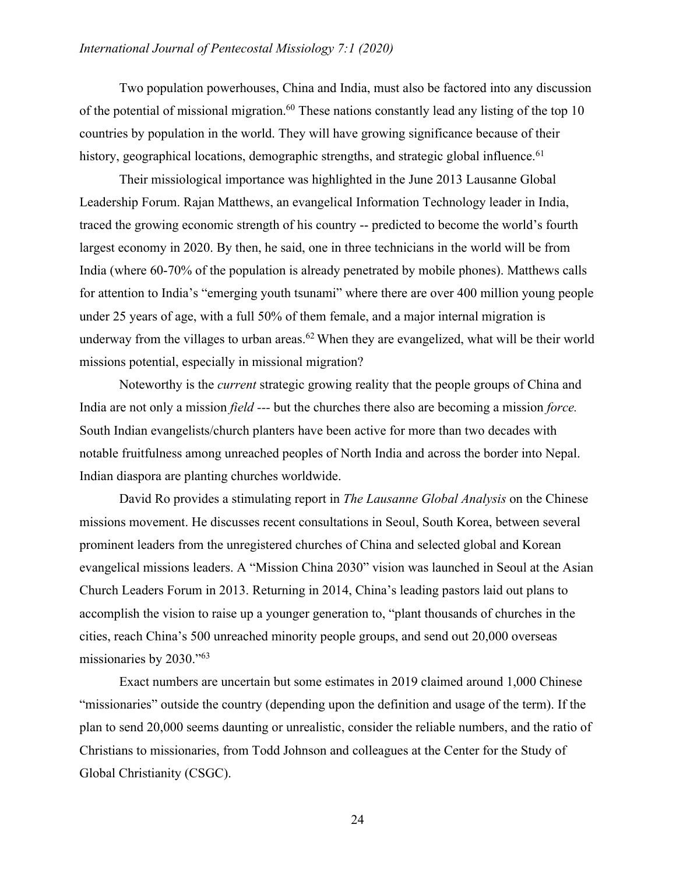### *International Journal of Pentecostal Missiology 7:1 (2020)*

Two population powerhouses, China and India, must also be factored into any discussion of the potential of missional migration.<sup>60</sup> These nations constantly lead any listing of the top 10 countries by population in the world. They will have growing significance because of their history, geographical locations, demographic strengths, and strategic global influence.<sup>61</sup>

Their missiological importance was highlighted in the June 2013 Lausanne Global Leadership Forum. Rajan Matthews, an evangelical Information Technology leader in India, traced the growing economic strength of his country -- predicted to become the world's fourth largest economy in 2020. By then, he said, one in three technicians in the world will be from India (where 60-70% of the population is already penetrated by mobile phones). Matthews calls for attention to India's "emerging youth tsunami" where there are over 400 million young people under 25 years of age, with a full 50% of them female, and a major internal migration is underway from the villages to urban areas.<sup>62</sup> When they are evangelized, what will be their world missions potential, especially in missional migration?

Noteworthy is the *current* strategic growing reality that the people groups of China and India are not only a mission *field ---* but the churches there also are becoming a mission *force.*  South Indian evangelists/church planters have been active for more than two decades with notable fruitfulness among unreached peoples of North India and across the border into Nepal. Indian diaspora are planting churches worldwide.

David Ro provides a stimulating report in *The Lausanne Global Analysis* on the Chinese missions movement. He discusses recent consultations in Seoul, South Korea, between several prominent leaders from the unregistered churches of China and selected global and Korean evangelical missions leaders. A "Mission China 2030" vision was launched in Seoul at the Asian Church Leaders Forum in 2013. Returning in 2014, China's leading pastors laid out plans to accomplish the vision to raise up a younger generation to, "plant thousands of churches in the cities, reach China's 500 unreached minority people groups, and send out 20,000 overseas missionaries by 2030."63

Exact numbers are uncertain but some estimates in 2019 claimed around 1,000 Chinese "missionaries" outside the country (depending upon the definition and usage of the term). If the plan to send 20,000 seems daunting or unrealistic, consider the reliable numbers, and the ratio of Christians to missionaries, from Todd Johnson and colleagues at the Center for the Study of Global Christianity (CSGC).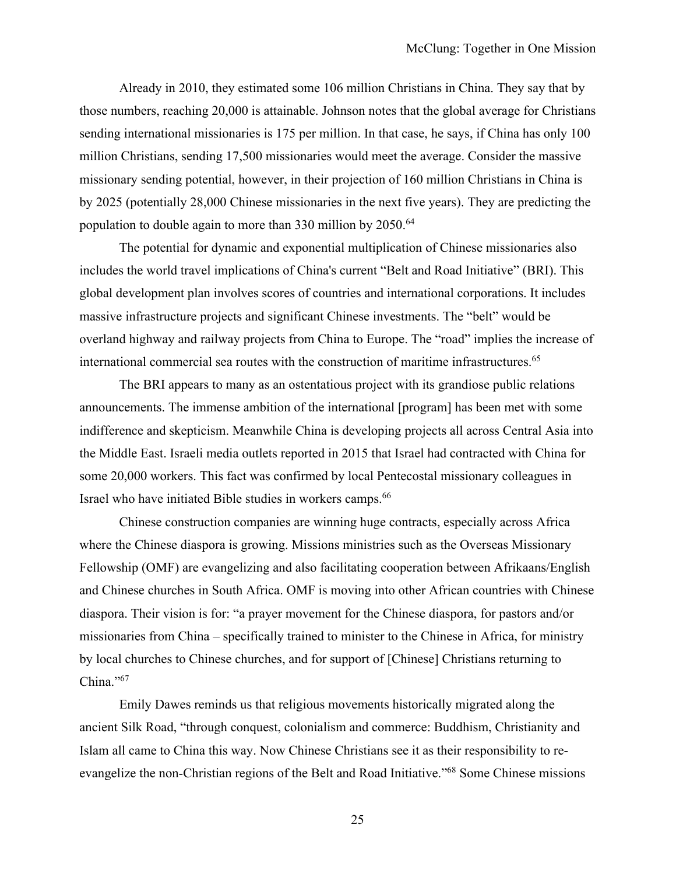Already in 2010, they estimated some 106 million Christians in China. They say that by those numbers, reaching 20,000 is attainable. Johnson notes that the global average for Christians sending international missionaries is 175 per million. In that case, he says, if China has only 100 million Christians, sending 17,500 missionaries would meet the average. Consider the massive missionary sending potential, however, in their projection of 160 million Christians in China is by 2025 (potentially 28,000 Chinese missionaries in the next five years). They are predicting the population to double again to more than 330 million by 2050.<sup>64</sup>

The potential for dynamic and exponential multiplication of Chinese missionaries also includes the world travel implications of China's current "Belt and Road Initiative" (BRI). This global development plan involves scores of countries and international corporations. It includes massive infrastructure projects and significant Chinese investments. The "belt" would be overland highway and railway projects from China to Europe. The "road" implies the increase of international commercial sea routes with the construction of maritime infrastructures.<sup>65</sup>

The BRI appears to many as an ostentatious project with its grandiose public relations announcements. The immense ambition of the international [program] has been met with some indifference and skepticism. Meanwhile China is developing projects all across Central Asia into the Middle East. Israeli media outlets reported in 2015 that Israel had contracted with China for some 20,000 workers. This fact was confirmed by local Pentecostal missionary colleagues in Israel who have initiated Bible studies in workers camps.66

Chinese construction companies are winning huge contracts, especially across Africa where the Chinese diaspora is growing. Missions ministries such as the Overseas Missionary Fellowship (OMF) are evangelizing and also facilitating cooperation between Afrikaans/English and Chinese churches in South Africa. OMF is moving into other African countries with Chinese diaspora. Their vision is for: "a prayer movement for the Chinese diaspora, for pastors and/or missionaries from China – specifically trained to minister to the Chinese in Africa, for ministry by local churches to Chinese churches, and for support of [Chinese] Christians returning to China."67

Emily Dawes reminds us that religious movements historically migrated along the ancient Silk Road, "through conquest, colonialism and commerce: Buddhism, Christianity and Islam all came to China this way. Now Chinese Christians see it as their responsibility to reevangelize the non-Christian regions of the Belt and Road Initiative."68 Some Chinese missions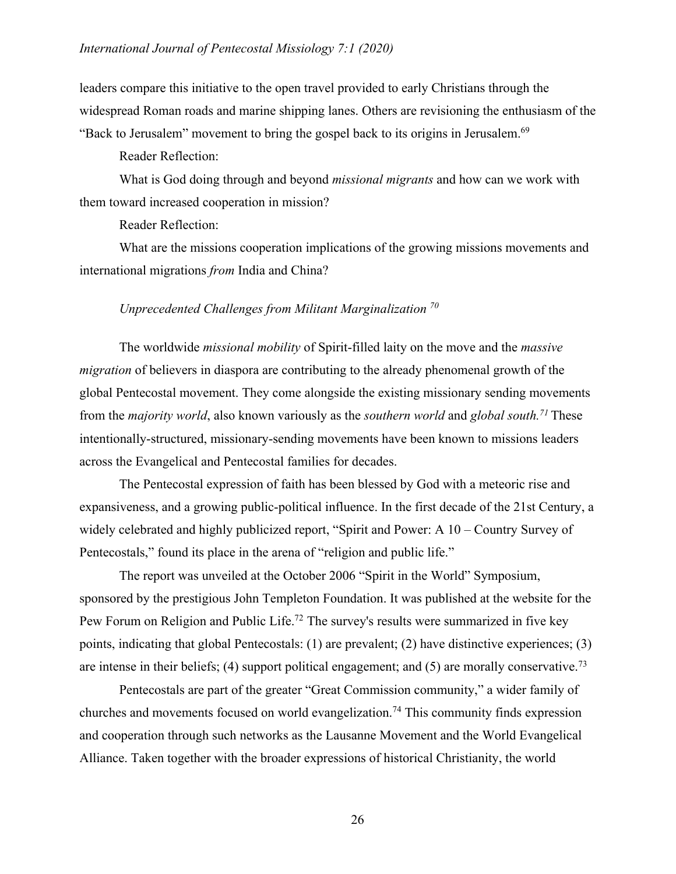leaders compare this initiative to the open travel provided to early Christians through the widespread Roman roads and marine shipping lanes. Others are revisioning the enthusiasm of the "Back to Jerusalem" movement to bring the gospel back to its origins in Jerusalem.<sup>69</sup>

Reader Reflection:

What is God doing through and beyond *missional migrants* and how can we work with them toward increased cooperation in mission?

Reader Reflection:

What are the missions cooperation implications of the growing missions movements and international migrations *from* India and China?

#### *Unprecedented Challenges from Militant Marginalization 70*

The worldwide *missional mobility* of Spirit-filled laity on the move and the *massive migration* of believers in diaspora are contributing to the already phenomenal growth of the global Pentecostal movement. They come alongside the existing missionary sending movements from the *majority world*, also known variously as the *southern world* and *global south.71* These intentionally-structured, missionary-sending movements have been known to missions leaders across the Evangelical and Pentecostal families for decades.

The Pentecostal expression of faith has been blessed by God with a meteoric rise and expansiveness, and a growing public-political influence. In the first decade of the 21st Century, a widely celebrated and highly publicized report, "Spirit and Power: A 10 – Country Survey of Pentecostals," found its place in the arena of "religion and public life."

The report was unveiled at the October 2006 "Spirit in the World" Symposium, sponsored by the prestigious John Templeton Foundation. It was published at the website for the Pew Forum on Religion and Public Life.<sup>72</sup> The survey's results were summarized in five key points, indicating that global Pentecostals: (1) are prevalent; (2) have distinctive experiences; (3) are intense in their beliefs; (4) support political engagement; and (5) are morally conservative.<sup>73</sup>

Pentecostals are part of the greater "Great Commission community," a wider family of churches and movements focused on world evangelization.74 This community finds expression and cooperation through such networks as the Lausanne Movement and the World Evangelical Alliance. Taken together with the broader expressions of historical Christianity, the world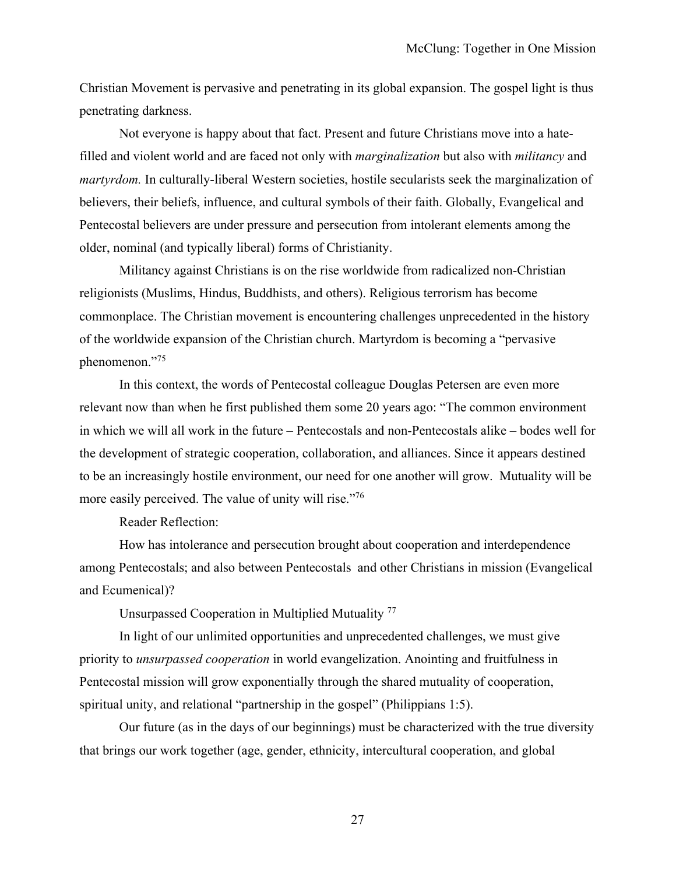Christian Movement is pervasive and penetrating in its global expansion. The gospel light is thus penetrating darkness.

Not everyone is happy about that fact. Present and future Christians move into a hatefilled and violent world and are faced not only with *marginalization* but also with *militancy* and *martyrdom.* In culturally-liberal Western societies, hostile secularists seek the marginalization of believers, their beliefs, influence, and cultural symbols of their faith. Globally, Evangelical and Pentecostal believers are under pressure and persecution from intolerant elements among the older, nominal (and typically liberal) forms of Christianity.

Militancy against Christians is on the rise worldwide from radicalized non-Christian religionists (Muslims, Hindus, Buddhists, and others). Religious terrorism has become commonplace. The Christian movement is encountering challenges unprecedented in the history of the worldwide expansion of the Christian church. Martyrdom is becoming a "pervasive phenomenon."75

In this context, the words of Pentecostal colleague Douglas Petersen are even more relevant now than when he first published them some 20 years ago: "The common environment in which we will all work in the future – Pentecostals and non-Pentecostals alike – bodes well for the development of strategic cooperation, collaboration, and alliances. Since it appears destined to be an increasingly hostile environment, our need for one another will grow. Mutuality will be more easily perceived. The value of unity will rise."<sup>76</sup>

Reader Reflection:

How has intolerance and persecution brought about cooperation and interdependence among Pentecostals; and also between Pentecostals and other Christians in mission (Evangelical and Ecumenical)?

Unsurpassed Cooperation in Multiplied Mutuality 77

In light of our unlimited opportunities and unprecedented challenges, we must give priority to *unsurpassed cooperation* in world evangelization. Anointing and fruitfulness in Pentecostal mission will grow exponentially through the shared mutuality of cooperation, spiritual unity, and relational "partnership in the gospel" (Philippians 1:5).

Our future (as in the days of our beginnings) must be characterized with the true diversity that brings our work together (age, gender, ethnicity, intercultural cooperation, and global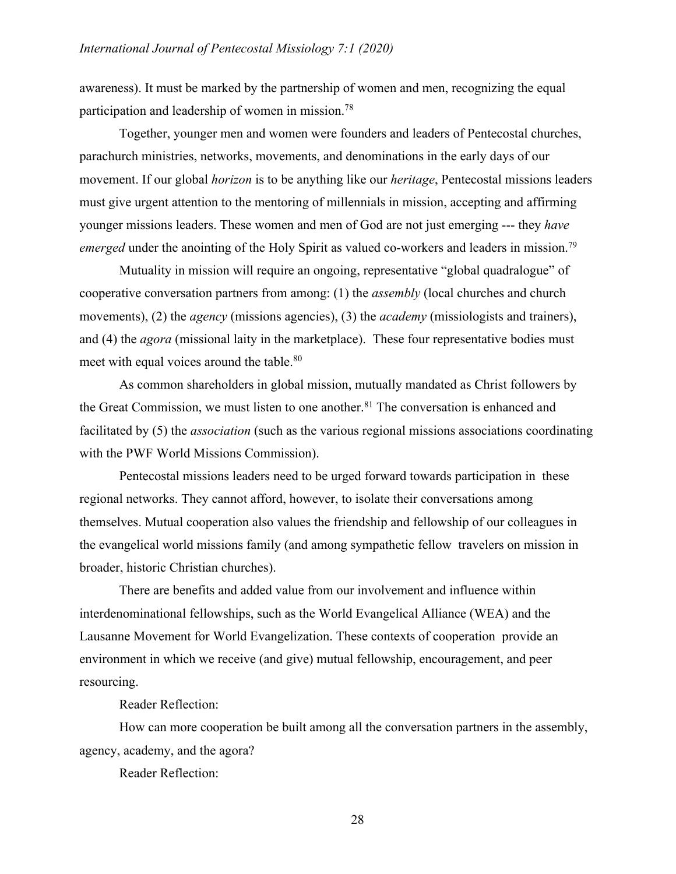awareness). It must be marked by the partnership of women and men, recognizing the equal participation and leadership of women in mission.78

Together, younger men and women were founders and leaders of Pentecostal churches, parachurch ministries, networks, movements, and denominations in the early days of our movement. If our global *horizon* is to be anything like our *heritage*, Pentecostal missions leaders must give urgent attention to the mentoring of millennials in mission, accepting and affirming younger missions leaders. These women and men of God are not just emerging --- they *have emerged* under the anointing of the Holy Spirit as valued co-workers and leaders in mission.<sup>79</sup>

Mutuality in mission will require an ongoing, representative "global quadralogue" of cooperative conversation partners from among: (1) the *assembly* (local churches and church movements), (2) the *agency* (missions agencies), (3) the *academy* (missiologists and trainers), and (4) the *agora* (missional laity in the marketplace). These four representative bodies must meet with equal voices around the table.<sup>80</sup>

As common shareholders in global mission, mutually mandated as Christ followers by the Great Commission, we must listen to one another. $81$  The conversation is enhanced and facilitated by (5) the *association* (such as the various regional missions associations coordinating with the PWF World Missions Commission).

Pentecostal missions leaders need to be urged forward towards participation in these regional networks. They cannot afford, however, to isolate their conversations among themselves. Mutual cooperation also values the friendship and fellowship of our colleagues in the evangelical world missions family (and among sympathetic fellow travelers on mission in broader, historic Christian churches).

There are benefits and added value from our involvement and influence within interdenominational fellowships, such as the World Evangelical Alliance (WEA) and the Lausanne Movement for World Evangelization. These contexts of cooperation provide an environment in which we receive (and give) mutual fellowship, encouragement, and peer resourcing.

Reader Reflection:

How can more cooperation be built among all the conversation partners in the assembly, agency, academy, and the agora?

Reader Reflection: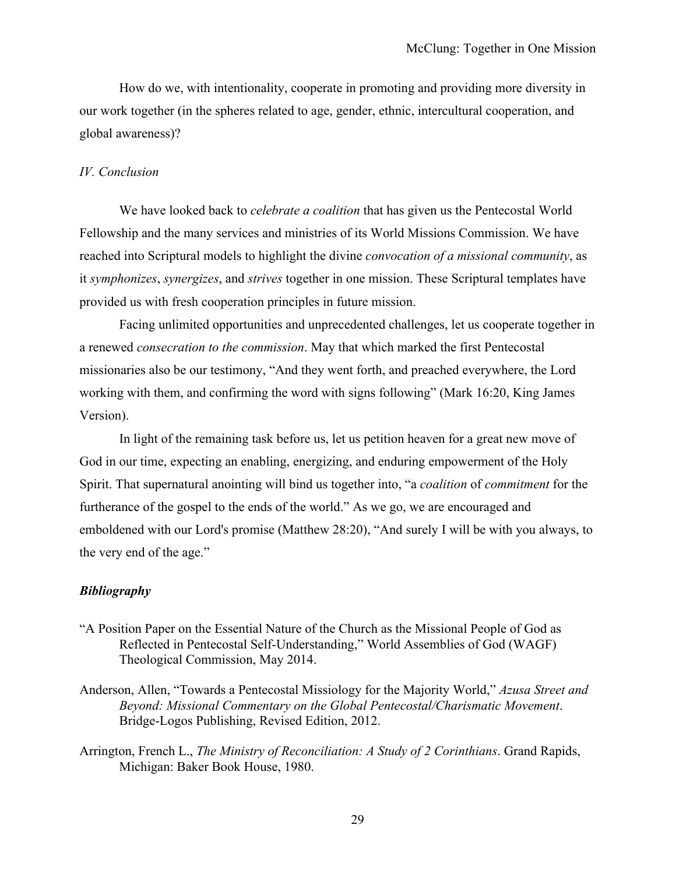How do we, with intentionality, cooperate in promoting and providing more diversity in our work together (in the spheres related to age, gender, ethnic, intercultural cooperation, and global awareness)?

#### *IV. Conclusion*

We have looked back to *celebrate a coalition* that has given us the Pentecostal World Fellowship and the many services and ministries of its World Missions Commission. We have reached into Scriptural models to highlight the divine *convocation of a missional community*, as it *symphonizes*, *synergizes*, and *strives* together in one mission. These Scriptural templates have provided us with fresh cooperation principles in future mission.

Facing unlimited opportunities and unprecedented challenges, let us cooperate together in a renewed *consecration to the commission*. May that which marked the first Pentecostal missionaries also be our testimony, "And they went forth, and preached everywhere, the Lord working with them, and confirming the word with signs following" (Mark 16:20, King James Version).

In light of the remaining task before us, let us petition heaven for a great new move of God in our time, expecting an enabling, energizing, and enduring empowerment of the Holy Spirit. That supernatural anointing will bind us together into, "a *coalition* of *commitment* for the furtherance of the gospel to the ends of the world." As we go, we are encouraged and emboldened with our Lord's promise (Matthew 28:20), "And surely I will be with you always, to the very end of the age."

#### *Bibliography*

- "A Position Paper on the Essential Nature of the Church as the Missional People of God as Reflected in Pentecostal Self-Understanding," World Assemblies of God (WAGF) Theological Commission, May 2014.
- Anderson, Allen, "Towards a Pentecostal Missiology for the Majority World," *Azusa Street and Beyond: Missional Commentary on the Global Pentecostal/Charismatic Movement*. Bridge-Logos Publishing, Revised Edition, 2012.
- Arrington, French L., *The Ministry of Reconciliation: A Study of 2 Corinthians*. Grand Rapids, Michigan: Baker Book House, 1980.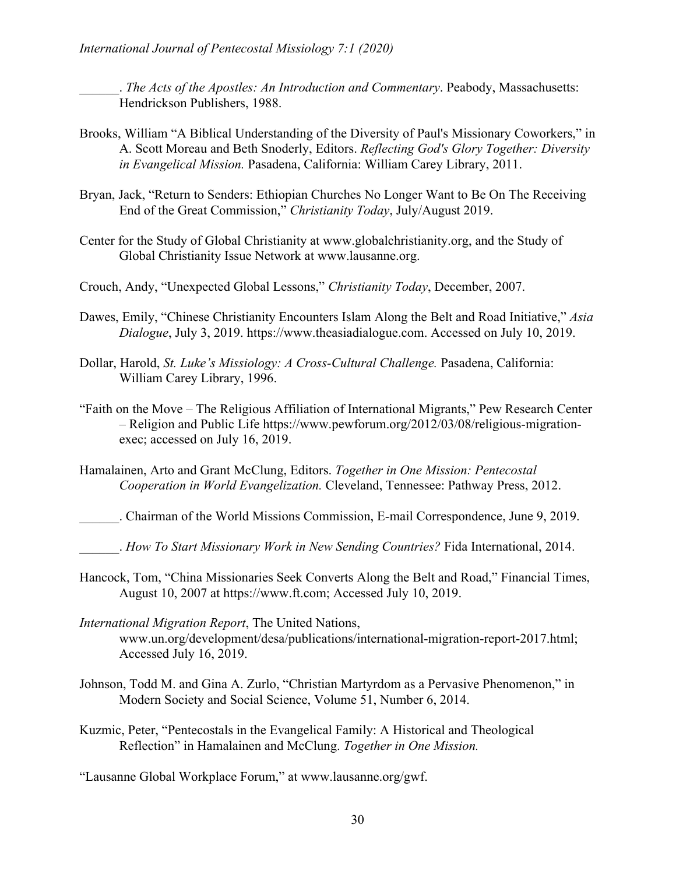\_\_\_\_\_\_. *The Acts of the Apostles: An Introduction and Commentary*. Peabody, Massachusetts: Hendrickson Publishers, 1988.

- Brooks, William "A Biblical Understanding of the Diversity of Paul's Missionary Coworkers," in A. Scott Moreau and Beth Snoderly, Editors. *Reflecting God's Glory Together: Diversity in Evangelical Mission.* Pasadena, California: William Carey Library, 2011.
- Bryan, Jack, "Return to Senders: Ethiopian Churches No Longer Want to Be On The Receiving End of the Great Commission," *Christianity Today*, July/August 2019.
- Center for the Study of Global Christianity at www.globalchristianity.org, and the Study of Global Christianity Issue Network at www.lausanne.org.
- Crouch, Andy, "Unexpected Global Lessons," *Christianity Today*, December, 2007.
- Dawes, Emily, "Chinese Christianity Encounters Islam Along the Belt and Road Initiative," *Asia Dialogue*, July 3, 2019. https://www.theasiadialogue.com. Accessed on July 10, 2019.
- Dollar, Harold, *St. Luke's Missiology: A Cross-Cultural Challenge*. Pasadena, California: William Carey Library, 1996.
- "Faith on the Move The Religious Affiliation of International Migrants," Pew Research Center – Religion and Public Life https://www.pewforum.org/2012/03/08/religious-migrationexec; accessed on July 16, 2019.
- Hamalainen, Arto and Grant McClung, Editors. *Together in One Mission: Pentecostal Cooperation in World Evangelization.* Cleveland, Tennessee: Pathway Press, 2012.

\_\_\_\_\_\_. Chairman of the World Missions Commission, E-mail Correspondence, June 9, 2019.

- \_\_\_\_\_\_. *How To Start Missionary Work in New Sending Countries?* Fida International, 2014.
- Hancock, Tom, "China Missionaries Seek Converts Along the Belt and Road," Financial Times, August 10, 2007 at https://www.ft.com; Accessed July 10, 2019.
- *International Migration Report*, The United Nations, www.un.org/development/desa/publications/international-migration-report-2017.html; Accessed July 16, 2019.
- Johnson, Todd M. and Gina A. Zurlo, "Christian Martyrdom as a Pervasive Phenomenon," in Modern Society and Social Science, Volume 51, Number 6, 2014.
- Kuzmic, Peter, "Pentecostals in the Evangelical Family: A Historical and Theological Reflection" in Hamalainen and McClung. *Together in One Mission.*

"Lausanne Global Workplace Forum," at www.lausanne.org/gwf.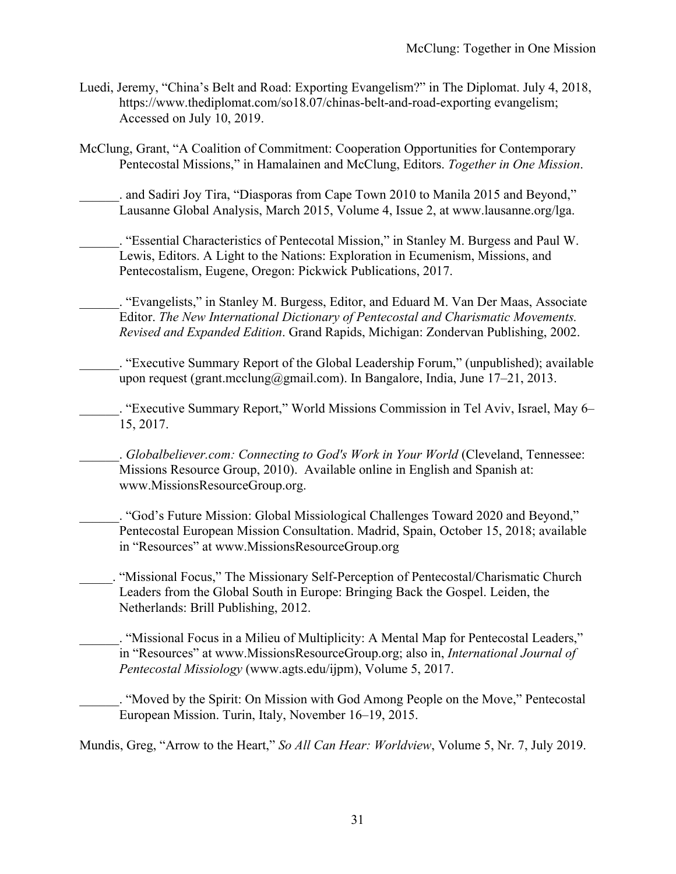- Luedi, Jeremy, "China's Belt and Road: Exporting Evangelism?" in The Diplomat. July 4, 2018, https://www.thediplomat.com/so18.07/chinas-belt-and-road-exporting evangelism; Accessed on July 10, 2019.
- McClung, Grant, "A Coalition of Commitment: Cooperation Opportunities for Contemporary Pentecostal Missions," in Hamalainen and McClung, Editors. *Together in One Mission*.

. and Sadiri Joy Tira, "Diasporas from Cape Town 2010 to Manila 2015 and Beyond," Lausanne Global Analysis, March 2015, Volume 4, Issue 2, at www.lausanne.org/lga.

\_\_\_\_\_\_. "Essential Characteristics of Pentecotal Mission," in Stanley M. Burgess and Paul W. Lewis, Editors. A Light to the Nations: Exploration in Ecumenism, Missions, and Pentecostalism, Eugene, Oregon: Pickwick Publications, 2017.

\_\_\_\_\_\_. "Evangelists," in Stanley M. Burgess, Editor, and Eduard M. Van Der Maas, Associate Editor. *The New International Dictionary of Pentecostal and Charismatic Movements. Revised and Expanded Edition*. Grand Rapids, Michigan: Zondervan Publishing, 2002.

\_\_\_\_\_\_. "Executive Summary Report of the Global Leadership Forum," (unpublished); available upon request (grant.mcclung@gmail.com). In Bangalore, India, June  $17-21$ ,  $2013$ .

\_\_\_\_\_\_. "Executive Summary Report," World Missions Commission in Tel Aviv, Israel, May 6– 15, 2017.

\_\_\_\_\_\_. *Globalbeliever.com: Connecting to God's Work in Your World* (Cleveland, Tennessee: Missions Resource Group, 2010). Available online in English and Spanish at: www.MissionsResourceGroup.org.

\_\_\_\_\_\_. "God's Future Mission: Global Missiological Challenges Toward 2020 and Beyond," Pentecostal European Mission Consultation. Madrid, Spain, October 15, 2018; available in "Resources" at www.MissionsResourceGroup.org

\_\_\_\_\_. "Missional Focus," The Missionary Self-Perception of Pentecostal/Charismatic Church Leaders from the Global South in Europe: Bringing Back the Gospel. Leiden, the Netherlands: Brill Publishing, 2012.

\_\_\_\_\_\_. "Missional Focus in a Milieu of Multiplicity: A Mental Map for Pentecostal Leaders," in "Resources" at www.MissionsResourceGroup.org; also in, *International Journal of Pentecostal Missiology* (www.agts.edu/ijpm), Volume 5, 2017.

\_\_\_\_\_\_. "Moved by the Spirit: On Mission with God Among People on the Move," Pentecostal European Mission. Turin, Italy, November 16–19, 2015.

Mundis, Greg, "Arrow to the Heart," *So All Can Hear: Worldview*, Volume 5, Nr. 7, July 2019.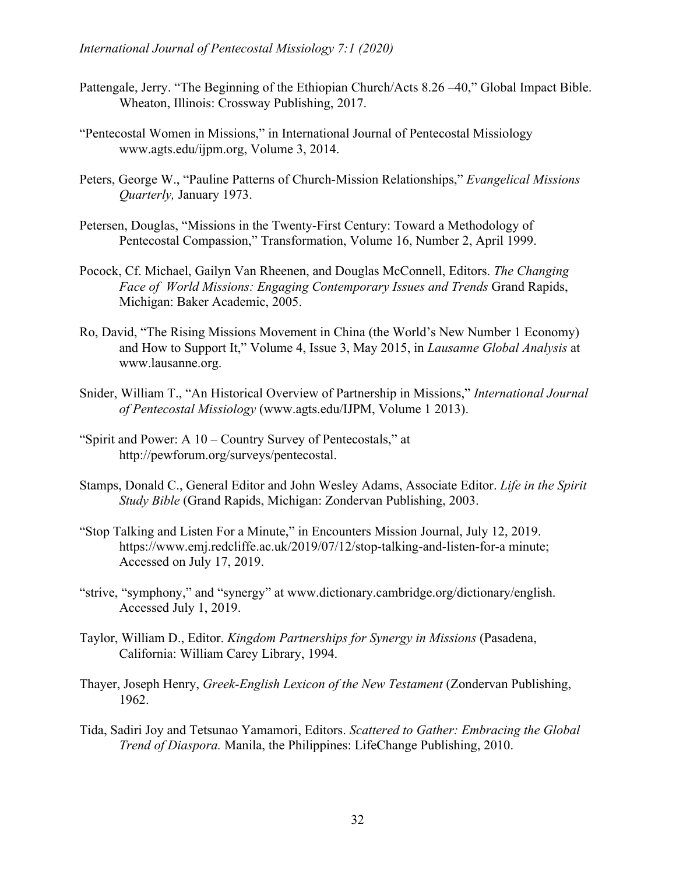- Pattengale, Jerry. "The Beginning of the Ethiopian Church/Acts 8.26 –40," Global Impact Bible. Wheaton, Illinois: Crossway Publishing, 2017.
- "Pentecostal Women in Missions," in International Journal of Pentecostal Missiology www.agts.edu/ijpm.org, Volume 3, 2014.
- Peters, George W., "Pauline Patterns of Church-Mission Relationships," *Evangelical Missions Quarterly,* January 1973.
- Petersen, Douglas, "Missions in the Twenty-First Century: Toward a Methodology of Pentecostal Compassion," Transformation, Volume 16, Number 2, April 1999.
- Pocock, Cf. Michael, Gailyn Van Rheenen, and Douglas McConnell, Editors. *The Changing Face of World Missions: Engaging Contemporary Issues and Trends* Grand Rapids, Michigan: Baker Academic, 2005.
- Ro, David, "The Rising Missions Movement in China (the World's New Number 1 Economy) and How to Support It," Volume 4, Issue 3, May 2015, in *Lausanne Global Analysis* at www.lausanne.org.
- Snider, William T., "An Historical Overview of Partnership in Missions," *International Journal of Pentecostal Missiology* (www.agts.edu/IJPM, Volume 1 2013).
- "Spirit and Power: A 10 Country Survey of Pentecostals," at http://pewforum.org/surveys/pentecostal.
- Stamps, Donald C., General Editor and John Wesley Adams, Associate Editor. *Life in the Spirit Study Bible* (Grand Rapids, Michigan: Zondervan Publishing, 2003.
- "Stop Talking and Listen For a Minute," in Encounters Mission Journal, July 12, 2019. https://www.emj.redcliffe.ac.uk/2019/07/12/stop-talking-and-listen-for-a minute; Accessed on July 17, 2019.
- "strive, "symphony," and "synergy" at www.dictionary.cambridge.org/dictionary/english. Accessed July 1, 2019.
- Taylor, William D., Editor. *Kingdom Partnerships for Synergy in Missions* (Pasadena, California: William Carey Library, 1994.
- Thayer, Joseph Henry, *Greek-English Lexicon of the New Testament* (Zondervan Publishing, 1962.
- Tida, Sadiri Joy and Tetsunao Yamamori, Editors. *Scattered to Gather: Embracing the Global Trend of Diaspora.* Manila, the Philippines: LifeChange Publishing, 2010.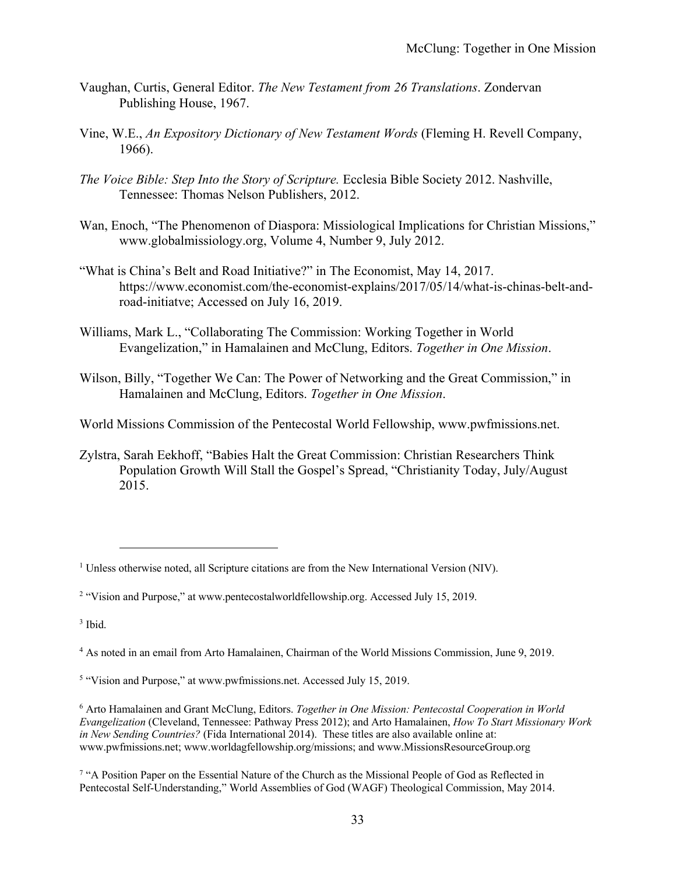- Vaughan, Curtis, General Editor. *The New Testament from 26 Translations*. Zondervan Publishing House, 1967.
- Vine, W.E., *An Expository Dictionary of New Testament Words* (Fleming H. Revell Company, 1966).
- *The Voice Bible: Step Into the Story of Scripture.* Ecclesia Bible Society 2012. Nashville, Tennessee: Thomas Nelson Publishers, 2012.
- Wan, Enoch, "The Phenomenon of Diaspora: Missiological Implications for Christian Missions," www.globalmissiology.org, Volume 4, Number 9, July 2012.
- "What is China's Belt and Road Initiative?" in The Economist, May 14, 2017. https://www.economist.com/the-economist-explains/2017/05/14/what-is-chinas-belt-androad-initiatve; Accessed on July 16, 2019.
- Williams, Mark L., "Collaborating The Commission: Working Together in World Evangelization," in Hamalainen and McClung, Editors. *Together in One Mission*.
- Wilson, Billy, "Together We Can: The Power of Networking and the Great Commission," in Hamalainen and McClung, Editors. *Together in One Mission*.

World Missions Commission of the Pentecostal World Fellowship, www.pwfmissions.net.

Zylstra, Sarah Eekhoff, "Babies Halt the Great Commission: Christian Researchers Think Population Growth Will Stall the Gospel's Spread, "Christianity Today, July/August 2015.

<sup>&</sup>lt;sup>1</sup> Unless otherwise noted, all Scripture citations are from the New International Version (NIV).

<sup>2</sup> "Vision and Purpose," at www.pentecostalworldfellowship.org. Accessed July 15, 2019.

 $3$  Ibid.

<sup>4</sup> As noted in an email from Arto Hamalainen, Chairman of the World Missions Commission, June 9, 2019.

<sup>5</sup> "Vision and Purpose," at www.pwfmissions.net. Accessed July 15, 2019.

<sup>6</sup> Arto Hamalainen and Grant McClung, Editors. *Together in One Mission: Pentecostal Cooperation in World Evangelization* (Cleveland, Tennessee: Pathway Press 2012); and Arto Hamalainen, *How To Start Missionary Work in New Sending Countries?* (Fida International 2014). These titles are also available online at: www.pwfmissions.net; www.worldagfellowship.org/missions; and www.MissionsResourceGroup.org

<sup>7</sup> "A Position Paper on the Essential Nature of the Church as the Missional People of God as Reflected in Pentecostal Self-Understanding," World Assemblies of God (WAGF) Theological Commission, May 2014.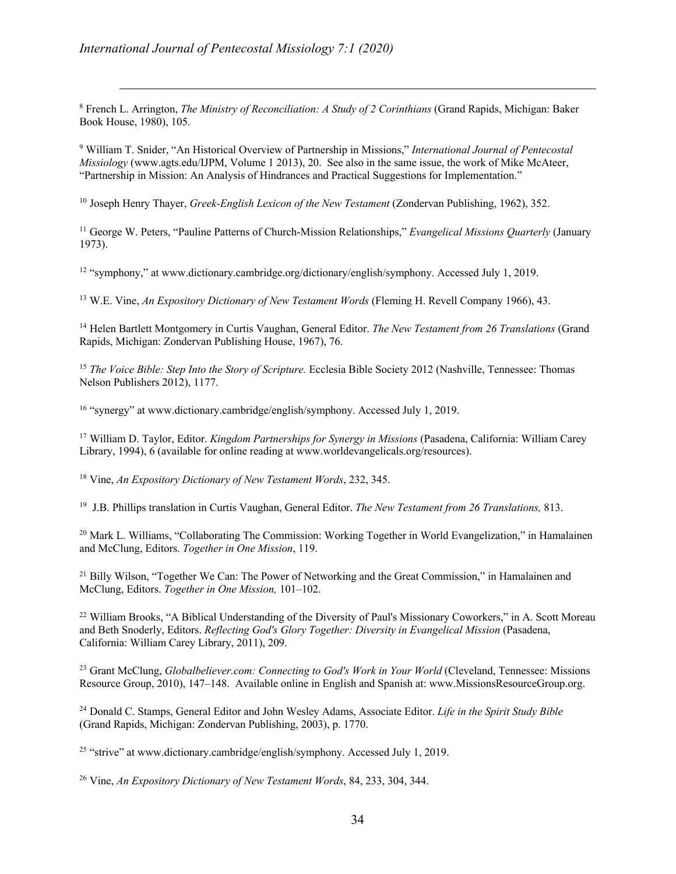<sup>8</sup> French L. Arrington, *The Ministry of Reconciliation: A Study of 2 Corinthians* (Grand Rapids, Michigan: Baker Book House, 1980), 105.

<sup>9</sup> William T. Snider, "An Historical Overview of Partnership in Missions," *International Journal of Pentecostal Missiology* (www.agts.edu/IJPM, Volume 1 2013), 20. See also in the same issue, the work of Mike McAteer, "Partnership in Mission: An Analysis of Hindrances and Practical Suggestions for Implementation."

<sup>10</sup> Joseph Henry Thayer, *Greek-English Lexicon of the New Testament* (Zondervan Publishing, 1962), 352.

<sup>11</sup> George W. Peters, "Pauline Patterns of Church-Mission Relationships," *Evangelical Missions Quarterly* (January 1973).

<sup>12</sup> "symphony," at www.dictionary.cambridge.org/dictionary/english/symphony. Accessed July 1, 2019.

<sup>13</sup> W.E. Vine, *An Expository Dictionary of New Testament Words* (Fleming H. Revell Company 1966), 43.

<sup>14</sup> Helen Bartlett Montgomery in Curtis Vaughan, General Editor. *The New Testament from 26 Translations* (Grand Rapids, Michigan: Zondervan Publishing House, 1967), 76.

<sup>15</sup> *The Voice Bible: Step Into the Story of Scripture.* Ecclesia Bible Society 2012 (Nashville, Tennessee: Thomas Nelson Publishers 2012), 1177.

<sup>16</sup> "synergy" at www.dictionary.cambridge/english/symphony. Accessed July 1, 2019.

<sup>17</sup> William D. Taylor, Editor. *Kingdom Partnerships for Synergy in Missions* (Pasadena, California: William Carey Library, 1994), 6 (available for online reading at www.worldevangelicals.org/resources).

<sup>18</sup> Vine, *An Expository Dictionary of New Testament Words*, 232, 345.

19 J.B. Phillips translation in Curtis Vaughan, General Editor. *The New Testament from 26 Translations,* 813.

<sup>20</sup> Mark L. Williams, "Collaborating The Commission: Working Together in World Evangelization," in Hamalainen and McClung, Editors. *Together in One Mission*, 119.

<sup>21</sup> Billy Wilson, "Together We Can: The Power of Networking and the Great Commission," in Hamalainen and McClung, Editors. *Together in One Mission,* 101–102.

<sup>22</sup> William Brooks, "A Biblical Understanding of the Diversity of Paul's Missionary Coworkers," in A. Scott Moreau and Beth Snoderly, Editors. *Reflecting God's Glory Together: Diversity in Evangelical Mission* (Pasadena, California: William Carey Library, 2011), 209.

<sup>23</sup> Grant McClung, *Globalbeliever.com: Connecting to God's Work in Your World* (Cleveland, Tennessee: Missions Resource Group, 2010), 147–148. Available online in English and Spanish at: www.MissionsResourceGroup.org.

<sup>24</sup> Donald C. Stamps, General Editor and John Wesley Adams, Associate Editor. *Life in the Spirit Study Bible* (Grand Rapids, Michigan: Zondervan Publishing, 2003), p. 1770.

<sup>25</sup> "strive" at www.dictionary.cambridge/english/symphony. Accessed July 1, 2019.

<sup>26</sup> Vine, *An Expository Dictionary of New Testament Words*, 84, 233, 304, 344.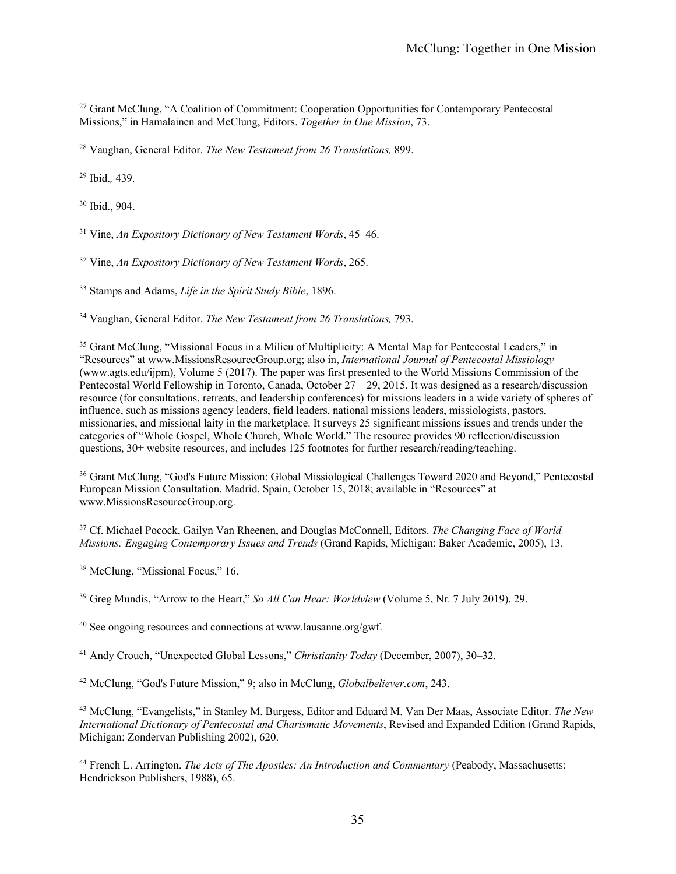<sup>27</sup> Grant McClung, "A Coalition of Commitment: Cooperation Opportunities for Contemporary Pentecostal Missions," in Hamalainen and McClung, Editors. *Together in One Mission*, 73.

<sup>28</sup> Vaughan, General Editor. *The New Testament from 26 Translations,* 899.

<sup>29</sup> Ibid.*,* 439.

<sup>30</sup> Ibid., 904.

<sup>31</sup> Vine, *An Expository Dictionary of New Testament Words*, 45–46.

<sup>32</sup> Vine, *An Expository Dictionary of New Testament Words*, 265.

<sup>33</sup> Stamps and Adams, *Life in the Spirit Study Bible*, 1896.

<sup>34</sup> Vaughan, General Editor. *The New Testament from 26 Translations,* 793.

<sup>35</sup> Grant McClung, "Missional Focus in a Milieu of Multiplicity: A Mental Map for Pentecostal Leaders," in "Resources" at www.MissionsResourceGroup.org; also in, *International Journal of Pentecostal Missiology* (www.agts.edu/ijpm), Volume 5 (2017). The paper was first presented to the World Missions Commission of the Pentecostal World Fellowship in Toronto, Canada, October 27 – 29, 2015. It was designed as a research/discussion resource (for consultations, retreats, and leadership conferences) for missions leaders in a wide variety of spheres of influence, such as missions agency leaders, field leaders, national missions leaders, missiologists, pastors, missionaries, and missional laity in the marketplace. It surveys 25 significant missions issues and trends under the categories of "Whole Gospel, Whole Church, Whole World." The resource provides 90 reflection/discussion questions, 30+ website resources, and includes 125 footnotes for further research/reading/teaching.

<sup>36</sup> Grant McClung, "God's Future Mission: Global Missiological Challenges Toward 2020 and Beyond," Pentecostal European Mission Consultation. Madrid, Spain, October 15, 2018; available in "Resources" at www.MissionsResourceGroup.org.

<sup>37</sup> Cf. Michael Pocock, Gailyn Van Rheenen, and Douglas McConnell, Editors. *The Changing Face of World Missions: Engaging Contemporary Issues and Trends* (Grand Rapids, Michigan: Baker Academic, 2005), 13.

<sup>38</sup> McClung, "Missional Focus," 16.

<sup>39</sup> Greg Mundis, "Arrow to the Heart," *So All Can Hear: Worldview* (Volume 5, Nr. 7 July 2019), 29.

<sup>40</sup> See ongoing resources and connections at www.lausanne.org/gwf.

<sup>41</sup> Andy Crouch, "Unexpected Global Lessons," *Christianity Today* (December, 2007), 30–32.

<sup>42</sup> McClung, "God's Future Mission," 9; also in McClung, *Globalbeliever.com*, 243.

<sup>43</sup> McClung, "Evangelists," in Stanley M. Burgess, Editor and Eduard M. Van Der Maas, Associate Editor. *The New International Dictionary of Pentecostal and Charismatic Movements*, Revised and Expanded Edition (Grand Rapids, Michigan: Zondervan Publishing 2002), 620.

<sup>44</sup> French L. Arrington. *The Acts of The Apostles: An Introduction and Commentary* (Peabody, Massachusetts: Hendrickson Publishers, 1988), 65.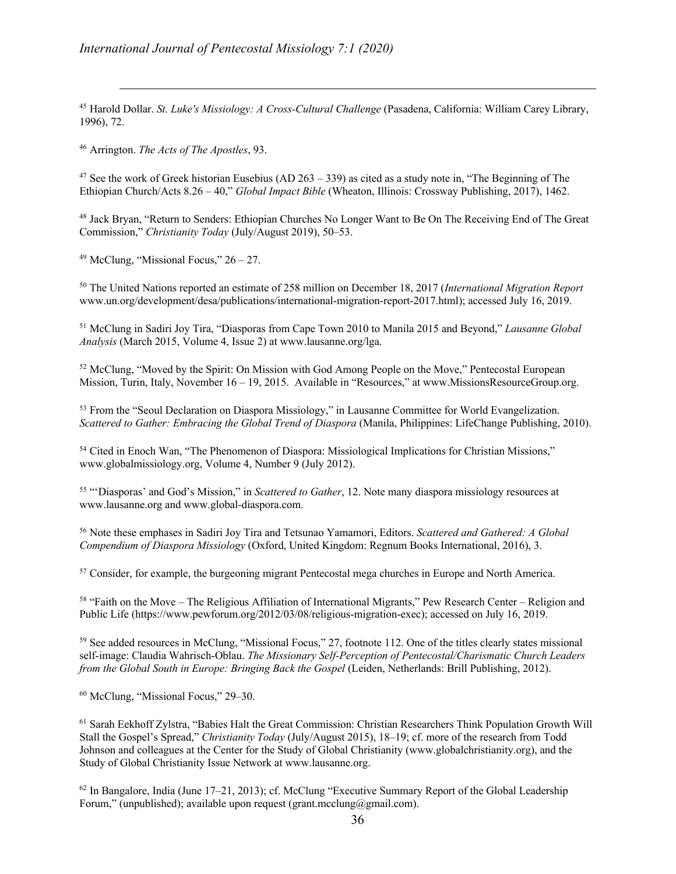<sup>45</sup> Harold Dollar. *St. Luke's Missiology: A Cross-Cultural Challenge* (Pasadena, California: William Carey Library, 1996), 72.

<sup>46</sup> Arrington. *The Acts of The Apostles*, 93.

<sup>47</sup> See the work of Greek historian Eusebius (AD  $263 - 339$ ) as cited as a study note in, "The Beginning of The Ethiopian Church/Acts 8.26 – 40," *Global Impact Bible* (Wheaton, Illinois: Crossway Publishing, 2017), 1462.

<sup>48</sup> Jack Bryan, "Return to Senders: Ethiopian Churches No Longer Want to Be On The Receiving End of The Great Commission," *Christianity Today* (July/August 2019), 50–53.

<sup>49</sup> McClung, "Missional Focus,"  $26 - 27$ .

<sup>50</sup> The United Nations reported an estimate of 258 million on December 18, 2017 (*International Migration Report* www.un.org/development/desa/publications/international-migration-report-2017.html); accessed July 16, 2019.

<sup>51</sup> McClung in Sadiri Joy Tira, "Diasporas from Cape Town 2010 to Manila 2015 and Beyond," *Lausanne Global Analysis* (March 2015, Volume 4, Issue 2) at www.lausanne.org/lga.

<sup>52</sup> McClung, "Moved by the Spirit: On Mission with God Among People on the Move," Pentecostal European Mission, Turin, Italy, November 16 – 19, 2015. Available in "Resources," at www.MissionsResourceGroup.org.

<sup>53</sup> From the "Seoul Declaration on Diaspora Missiology," in Lausanne Committee for World Evangelization. *Scattered to Gather: Embracing the Global Trend of Diaspora (Manila, Philippines: LifeChange Publishing, 2010).* 

<sup>54</sup> Cited in Enoch Wan, "The Phenomenon of Diaspora: Missiological Implications for Christian Missions," www.globalmissiology.org, Volume 4, Number 9 (July 2012).

<sup>55</sup> "'Diasporas' and God's Mission," in *Scattered to Gather*, 12. Note many diaspora missiology resources at www.lausanne.org and www.global-diaspora.com.

<sup>56</sup> Note these emphases in Sadiri Joy Tira and Tetsunao Yamamori, Editors. *Scattered and Gathered: A Global Compendium of Diaspora Missiology* (Oxford, United Kingdom: Regnum Books International, 2016), 3.

<sup>57</sup> Consider, for example, the burgeoning migrant Pentecostal mega churches in Europe and North America.

<sup>58</sup> "Faith on the Move – The Religious Affiliation of International Migrants," Pew Research Center – Religion and Public Life (https://www.pewforum.org/2012/03/08/religious-migration-exec); accessed on July 16, 2019.

<sup>59</sup> See added resources in McClung, "Missional Focus," 27, footnote 112. One of the titles clearly states missional self-image: Claudia Wahrisch-Oblau. *The Missionary Self-Perception of Pentecostal/Charismatic Church Leaders from the Global South in Europe: Bringing Back the Gospel* (Leiden, Netherlands: Brill Publishing, 2012).

<sup>60</sup> McClung, "Missional Focus," 29–30.

<sup>61</sup> Sarah Eekhoff Zylstra, "Babies Halt the Great Commission: Christian Researchers Think Population Growth Will Stall the Gospel's Spread," *Christianity Today* (July/August 2015), 18–19; cf. more of the research from Todd Johnson and colleagues at the Center for the Study of Global Christianity (www.globalchristianity.org), and the Study of Global Christianity Issue Network at www.lausanne.org.

<sup>62</sup> In Bangalore, India (June 17–21, 2013); cf. McClung "Executive Summary Report of the Global Leadership Forum," (unpublished); available upon request (grant.mcclung@gmail.com).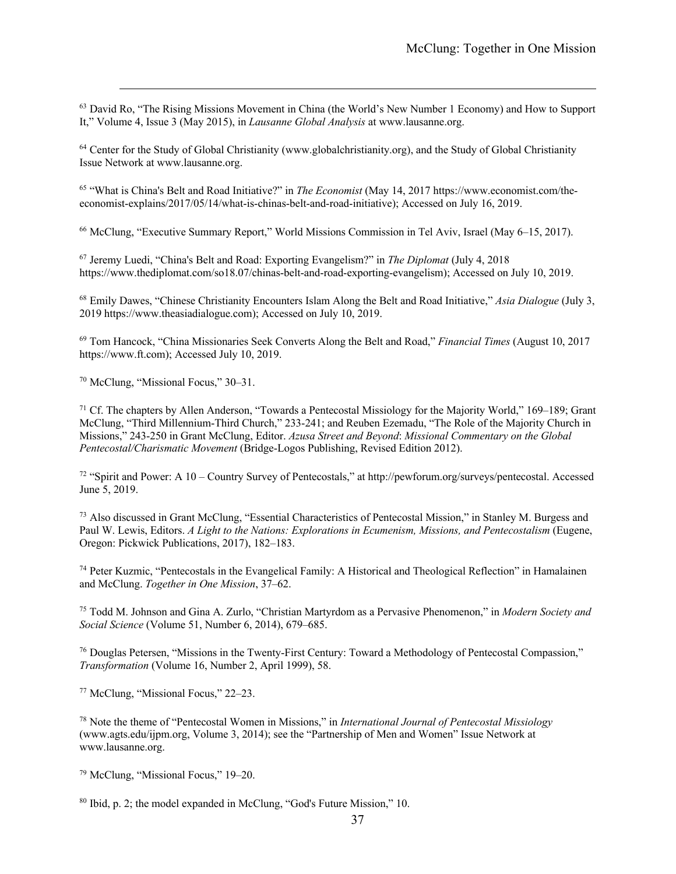<sup>63</sup> David Ro, "The Rising Missions Movement in China (the World's New Number 1 Economy) and How to Support It," Volume 4, Issue 3 (May 2015), in *Lausanne Global Analysis* at www.lausanne.org.

<sup>64</sup> Center for the Study of Global Christianity (www.globalchristianity.org), and the Study of Global Christianity Issue Network at www.lausanne.org.

<sup>65</sup> "What is China's Belt and Road Initiative?" in *The Economist* (May 14, 2017 https://www.economist.com/theeconomist-explains/2017/05/14/what-is-chinas-belt-and-road-initiative); Accessed on July 16, 2019.

<sup>66</sup> McClung, "Executive Summary Report," World Missions Commission in Tel Aviv, Israel (May 6–15, 2017).

<sup>67</sup> Jeremy Luedi, "China's Belt and Road: Exporting Evangelism?" in *The Diplomat* (July 4, 2018 https://www.thediplomat.com/so18.07/chinas-belt-and-road-exporting-evangelism); Accessed on July 10, 2019.

<sup>68</sup> Emily Dawes, "Chinese Christianity Encounters Islam Along the Belt and Road Initiative," *Asia Dialogue* (July 3, 2019 https://www.theasiadialogue.com); Accessed on July 10, 2019.

<sup>69</sup> Tom Hancock, "China Missionaries Seek Converts Along the Belt and Road," *Financial Times* (August 10, 2017 https://www.ft.com); Accessed July 10, 2019.

<sup>70</sup> McClung, "Missional Focus," 30–31.

<sup>71</sup> Cf. The chapters by Allen Anderson, "Towards a Pentecostal Missiology for the Majority World," 169–189; Grant McClung, "Third Millennium-Third Church," 233-241; and Reuben Ezemadu, "The Role of the Majority Church in Missions," 243-250 in Grant McClung, Editor. *Azusa Street and Beyond*: *Missional Commentary on the Global Pentecostal/Charismatic Movement* (Bridge-Logos Publishing, Revised Edition 2012).

<sup>72</sup> "Spirit and Power: A 10 – Country Survey of Pentecostals," at http://pewforum.org/surveys/pentecostal. Accessed June 5, 2019.

<sup>73</sup> Also discussed in Grant McClung, "Essential Characteristics of Pentecostal Mission," in Stanley M. Burgess and Paul W. Lewis, Editors. *A Light to the Nations: Explorations in Ecumenism, Missions, and Pentecostalism* (Eugene, Oregon: Pickwick Publications, 2017), 182–183.

<sup>74</sup> Peter Kuzmic, "Pentecostals in the Evangelical Family: A Historical and Theological Reflection" in Hamalainen and McClung. *Together in One Mission*, 37–62.

<sup>75</sup> Todd M. Johnson and Gina A. Zurlo, "Christian Martyrdom as a Pervasive Phenomenon," in *Modern Society and Social Science* (Volume 51, Number 6, 2014), 679–685.

<sup>76</sup> Douglas Petersen, "Missions in the Twenty-First Century: Toward a Methodology of Pentecostal Compassion," *Transformation* (Volume 16, Number 2, April 1999), 58.

<sup>77</sup> McClung, "Missional Focus," 22–23.

<sup>78</sup> Note the theme of "Pentecostal Women in Missions," in *International Journal of Pentecostal Missiology* (www.agts.edu/ijpm.org, Volume 3, 2014); see the "Partnership of Men and Women" Issue Network at www.lausanne.org.

<sup>79</sup> McClung, "Missional Focus," 19–20.

<sup>80</sup> Ibid, p. 2; the model expanded in McClung, "God's Future Mission," 10.